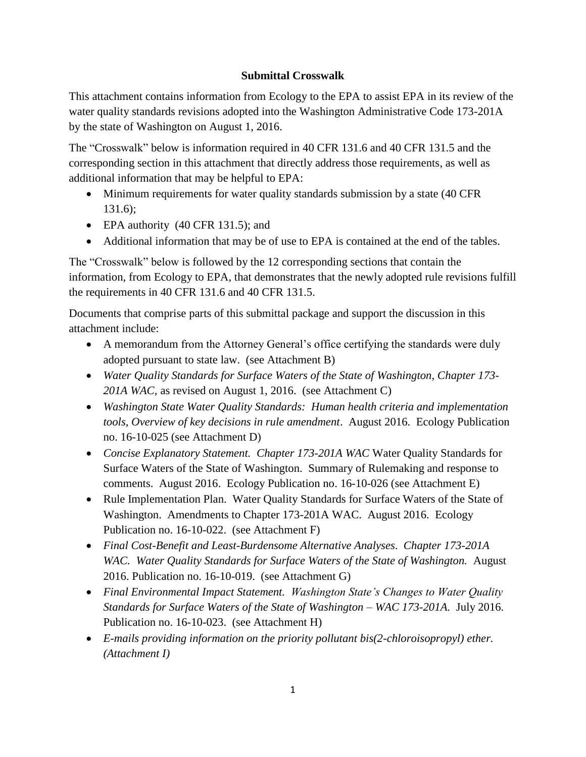#### **Submittal Crosswalk**

This attachment contains information from Ecology to the EPA to assist EPA in its review of the water quality standards revisions adopted into the Washington Administrative Code 173-201A by the state of Washington on August 1, 2016.

The "Crosswalk" below is information required in 40 CFR 131.6 and 40 CFR 131.5 and the corresponding section in this attachment that directly address those requirements, as well as additional information that may be helpful to EPA:

- Minimum requirements for water quality standards submission by a state (40 CFR) 131.6);
- EPA authority (40 CFR 131.5); and
- Additional information that may be of use to EPA is contained at the end of the tables.

The "Crosswalk" below is followed by the 12 corresponding sections that contain the information, from Ecology to EPA, that demonstrates that the newly adopted rule revisions fulfill the requirements in 40 CFR 131.6 and 40 CFR 131.5.

Documents that comprise parts of this submittal package and support the discussion in this attachment include:

- A memorandum from the Attorney General's office certifying the standards were duly adopted pursuant to state law. (see Attachment B)
- *Water Quality Standards for Surface Waters of the State of Washington, Chapter 173- 201A WAC*, as revised on August 1, 2016. (see Attachment C)
- *Washington State Water Quality Standards: Human health criteria and implementation tools, Overview of key decisions in rule amendment*. August 2016. Ecology Publication no. 16-10-025 (see Attachment D)
- *Concise Explanatory Statement. Chapter 173-201A WAC* Water Quality Standards for Surface Waters of the State of Washington. Summary of Rulemaking and response to comments. August 2016. Ecology Publication no. 16-10-026 (see Attachment E)
- Rule Implementation Plan. Water Quality Standards for Surface Waters of the State of Washington. Amendments to Chapter 173-201A WAC. August 2016. Ecology Publication no. 16-10-022. (see Attachment F)
- *Final Cost-Benefit and Least-Burdensome Alternative Analyses*. *Chapter 173-201A*  WAC. Water Quality Standards for Surface Waters of the State of Washington. August 2016. Publication no. 16-10-019. (see Attachment G)
- *Final Environmental Impact Statement. Washington State's Changes to Water Quality Standards for Surface Waters of the State of Washington – WAC 173-201A.* July 2016. Publication no. 16-10-023. (see Attachment H)
- *E-mails providing information on the priority pollutant bis(2-chloroisopropyl) ether. (Attachment I)*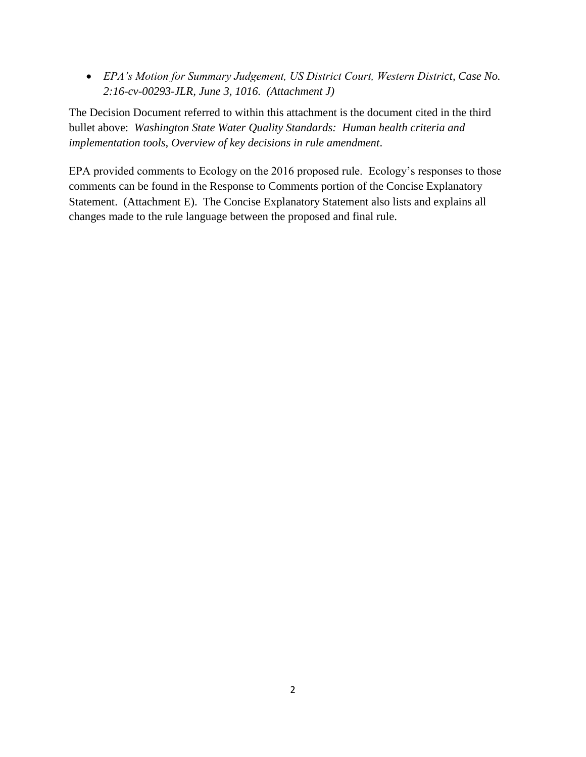*EPA's Motion for Summary Judgement, US District Court, Western District, Case No. 2:16-cv-00293-JLR, June 3, 1016. (Attachment J)*

The Decision Document referred to within this attachment is the document cited in the third bullet above: *Washington State Water Quality Standards: Human health criteria and implementation tools, Overview of key decisions in rule amendment*.

EPA provided comments to Ecology on the 2016 proposed rule. Ecology's responses to those comments can be found in the Response to Comments portion of the Concise Explanatory Statement. (Attachment E). The Concise Explanatory Statement also lists and explains all changes made to the rule language between the proposed and final rule.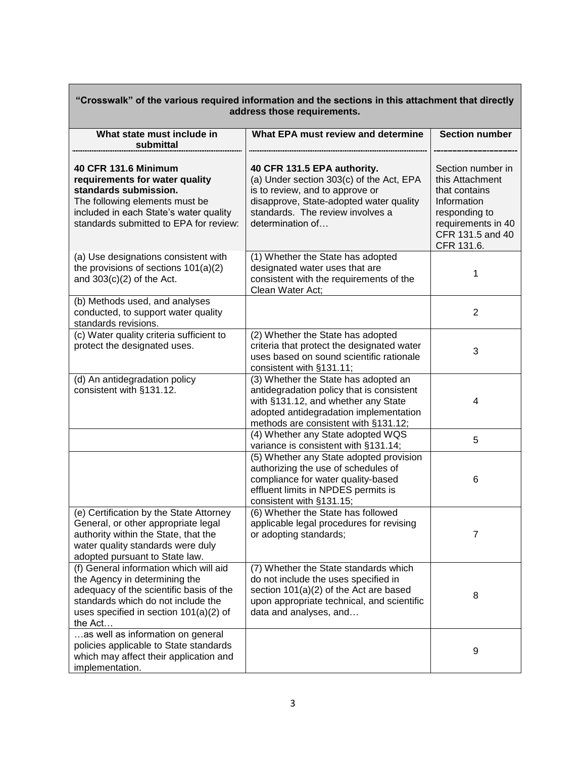| "Crosswalk" of the various required information and the sections in this attachment that directly<br>address those requirements.                                                                                |                                                                                                                                                                                                               |                                                                                                                                               |  |
|-----------------------------------------------------------------------------------------------------------------------------------------------------------------------------------------------------------------|---------------------------------------------------------------------------------------------------------------------------------------------------------------------------------------------------------------|-----------------------------------------------------------------------------------------------------------------------------------------------|--|
| What state must include in<br>submittal                                                                                                                                                                         | What EPA must review and determine                                                                                                                                                                            | <b>Section number</b>                                                                                                                         |  |
| 40 CFR 131.6 Minimum<br>requirements for water quality<br>standards submission.<br>The following elements must be<br>included in each State's water quality<br>standards submitted to EPA for review:           | 40 CFR 131.5 EPA authority.<br>(a) Under section 303(c) of the Act, EPA<br>is to review, and to approve or<br>disapprove, State-adopted water quality<br>standards. The review involves a<br>determination of | Section number in<br>this Attachment<br>that contains<br>Information<br>responding to<br>requirements in 40<br>CFR 131.5 and 40<br>CFR 131.6. |  |
| (a) Use designations consistent with<br>the provisions of sections 101(a)(2)<br>and $303(c)(2)$ of the Act.                                                                                                     | (1) Whether the State has adopted<br>designated water uses that are<br>consistent with the requirements of the<br>Clean Water Act;                                                                            | 1                                                                                                                                             |  |
| (b) Methods used, and analyses<br>conducted, to support water quality<br>standards revisions.                                                                                                                   |                                                                                                                                                                                                               | $\overline{2}$                                                                                                                                |  |
| (c) Water quality criteria sufficient to<br>protect the designated uses.                                                                                                                                        | (2) Whether the State has adopted<br>criteria that protect the designated water<br>uses based on sound scientific rationale<br>consistent with §131.11;                                                       | 3                                                                                                                                             |  |
| (d) An antidegradation policy<br>consistent with §131.12.                                                                                                                                                       | (3) Whether the State has adopted an<br>antidegradation policy that is consistent<br>with §131.12, and whether any State<br>adopted antidegradation implementation<br>methods are consistent with §131.12;    | 4                                                                                                                                             |  |
|                                                                                                                                                                                                                 | (4) Whether any State adopted WQS<br>variance is consistent with §131.14;                                                                                                                                     | 5                                                                                                                                             |  |
|                                                                                                                                                                                                                 | (5) Whether any State adopted provision<br>authorizing the use of schedules of<br>compliance for water quality-based<br>effluent limits in NPDES permits is<br>consistent with §131.15;                       | 6                                                                                                                                             |  |
| (e) Certification by the State Attorney<br>General, or other appropriate legal<br>authority within the State, that the<br>water quality standards were duly<br>adopted pursuant to State law.                   | (6) Whether the State has followed<br>applicable legal procedures for revising<br>or adopting standards;                                                                                                      | 7                                                                                                                                             |  |
| (f) General information which will aid<br>the Agency in determining the<br>adequacy of the scientific basis of the<br>standards which do not include the<br>uses specified in section $101(a)(2)$ of<br>the Act | (7) Whether the State standards which<br>do not include the uses specified in<br>section $101(a)(2)$ of the Act are based<br>upon appropriate technical, and scientific<br>data and analyses, and             | 8                                                                                                                                             |  |
| as well as information on general<br>policies applicable to State standards<br>which may affect their application and<br>implementation.                                                                        |                                                                                                                                                                                                               | 9                                                                                                                                             |  |

# **"Crosswalk" of the various required information and the sections in this attachment that directly**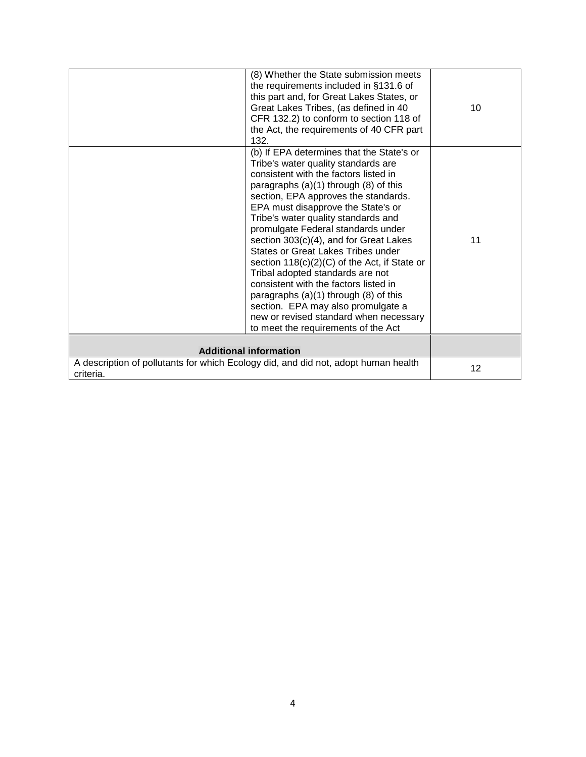| (8) Whether the State submission meets<br>the requirements included in §131.6 of<br>this part and, for Great Lakes States, or<br>Great Lakes Tribes, (as defined in 40<br>CFR 132.2) to conform to section 118 of<br>the Act, the requirements of 40 CFR part<br>132.                                                                                                                                                                                                                                                                                                                                                                                                                                                | 10 |
|----------------------------------------------------------------------------------------------------------------------------------------------------------------------------------------------------------------------------------------------------------------------------------------------------------------------------------------------------------------------------------------------------------------------------------------------------------------------------------------------------------------------------------------------------------------------------------------------------------------------------------------------------------------------------------------------------------------------|----|
| (b) If EPA determines that the State's or<br>Tribe's water quality standards are<br>consistent with the factors listed in<br>paragraphs $(a)(1)$ through $(8)$ of this<br>section, EPA approves the standards.<br>EPA must disapprove the State's or<br>Tribe's water quality standards and<br>promulgate Federal standards under<br>section 303(c)(4), and for Great Lakes<br>States or Great Lakes Tribes under<br>section $118(c)(2)(C)$ of the Act, if State or<br>Tribal adopted standards are not<br>consistent with the factors listed in<br>paragraphs $(a)(1)$ through $(8)$ of this<br>section. EPA may also promulgate a<br>new or revised standard when necessary<br>to meet the requirements of the Act | 11 |
| <b>Additional information</b>                                                                                                                                                                                                                                                                                                                                                                                                                                                                                                                                                                                                                                                                                        |    |
| A description of pollutants for which Ecology did, and did not, adopt human health<br>criteria.                                                                                                                                                                                                                                                                                                                                                                                                                                                                                                                                                                                                                      | 12 |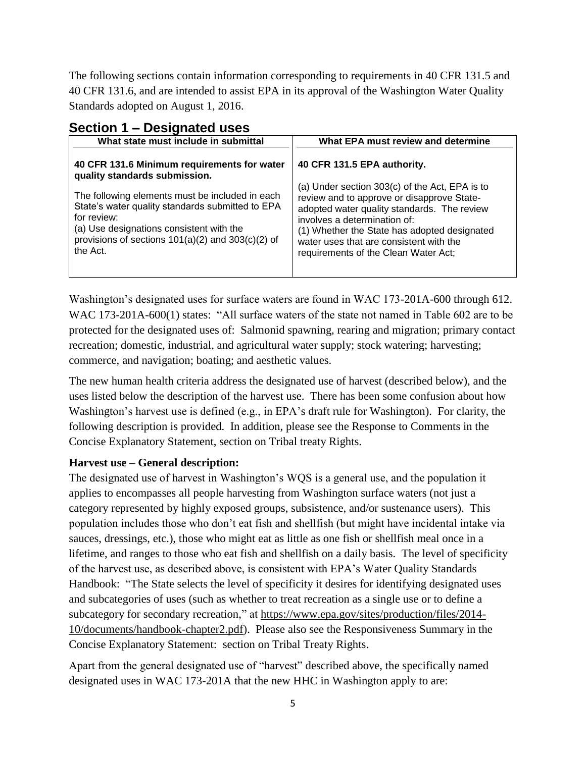The following sections contain information corresponding to requirements in 40 CFR 131.5 and 40 CFR 131.6, and are intended to assist EPA in its approval of the Washington Water Quality Standards adopted on August 1, 2016.

| What state must include in submittal                                                                                                                                                                                                | What EPA must review and determine                                                                                                                                                                                                                                                                             |
|-------------------------------------------------------------------------------------------------------------------------------------------------------------------------------------------------------------------------------------|----------------------------------------------------------------------------------------------------------------------------------------------------------------------------------------------------------------------------------------------------------------------------------------------------------------|
| 40 CFR 131.6 Minimum requirements for water<br>quality standards submission.                                                                                                                                                        | 40 CFR 131.5 EPA authority.                                                                                                                                                                                                                                                                                    |
| The following elements must be included in each<br>State's water quality standards submitted to EPA<br>for review:<br>(a) Use designations consistent with the<br>provisions of sections $101(a)(2)$ and $303(c)(2)$ of<br>the Act. | (a) Under section 303(c) of the Act, EPA is to<br>review and to approve or disapprove State-<br>adopted water quality standards. The review<br>involves a determination of:<br>(1) Whether the State has adopted designated<br>water uses that are consistent with the<br>requirements of the Clean Water Act; |

## **Section 1 – Designated uses**

Washington's designated uses for surface waters are found in WAC 173-201A-600 through 612. WAC 173-201A-600(1) states: "All surface waters of the state not named in Table 602 are to be protected for the designated uses of: Salmonid spawning, rearing and migration; primary contact recreation; domestic, industrial, and agricultural water supply; stock watering; harvesting; commerce, and navigation; boating; and aesthetic values.

The new human health criteria address the designated use of harvest (described below), and the uses listed below the description of the harvest use. There has been some confusion about how Washington's harvest use is defined (e.g., in EPA's draft rule for Washington). For clarity, the following description is provided. In addition, please see the Response to Comments in the Concise Explanatory Statement, section on Tribal treaty Rights.

#### **Harvest use – General description:**

The designated use of harvest in Washington's WQS is a general use, and the population it applies to encompasses all people harvesting from Washington surface waters (not just a category represented by highly exposed groups, subsistence, and/or sustenance users). This population includes those who don't eat fish and shellfish (but might have incidental intake via sauces, dressings, etc.), those who might eat as little as one fish or shellfish meal once in a lifetime, and ranges to those who eat fish and shellfish on a daily basis. The level of specificity of the harvest use, as described above, is consistent with EPA's Water Quality Standards Handbook: "The State selects the level of specificity it desires for identifying designated uses and subcategories of uses (such as whether to treat recreation as a single use or to define a subcategory for secondary recreation," at [https://www.epa.gov/sites/production/files/2014-](https://www.epa.gov/sites/production/files/2014-10/documents/handbook-chapter2.pdf) [10/documents/handbook-chapter2.pdf\)](https://www.epa.gov/sites/production/files/2014-10/documents/handbook-chapter2.pdf). Please also see the Responsiveness Summary in the Concise Explanatory Statement: section on Tribal Treaty Rights.

Apart from the general designated use of "harvest" described above, the specifically named designated uses in WAC 173-201A that the new HHC in Washington apply to are: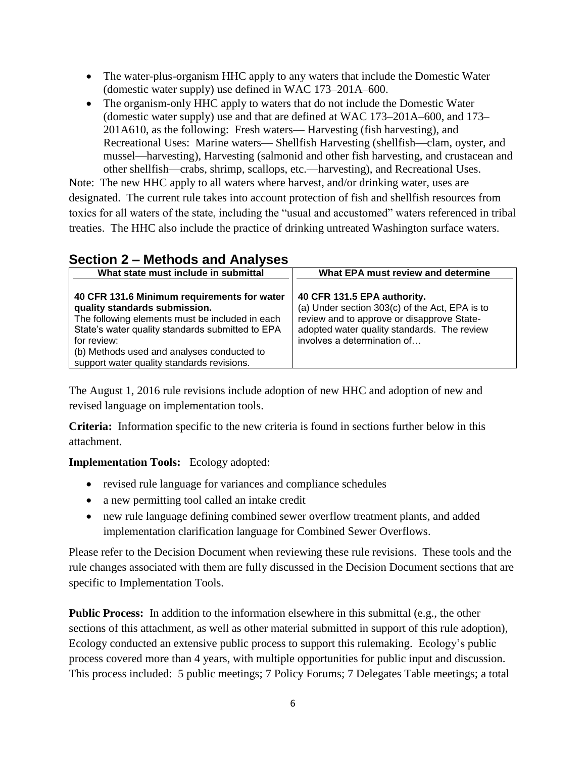- The water-plus-organism HHC apply to any waters that include the Domestic Water (domestic water supply) use defined in WAC 173–201A–600.
- The organism-only HHC apply to waters that do not include the Domestic Water (domestic water supply) use and that are defined at WAC 173–201A–600, and 173– 201A610, as the following: Fresh waters— Harvesting (fish harvesting), and Recreational Uses: Marine waters— Shellfish Harvesting (shellfish—clam, oyster, and mussel—harvesting), Harvesting (salmonid and other fish harvesting, and crustacean and other shellfish—crabs, shrimp, scallops, etc.—harvesting), and Recreational Uses.

Note: The new HHC apply to all waters where harvest, and/or drinking water, uses are designated. The current rule takes into account protection of fish and shellfish resources from toxics for all waters of the state, including the "usual and accustomed" waters referenced in tribal treaties. The HHC also include the practice of drinking untreated Washington surface waters.

| $\overline{3}$ dection $\overline{2}$ – Inethous and Analyses                                                                                                                                                                                                                                  |                                                                                                                                                                                                           |
|------------------------------------------------------------------------------------------------------------------------------------------------------------------------------------------------------------------------------------------------------------------------------------------------|-----------------------------------------------------------------------------------------------------------------------------------------------------------------------------------------------------------|
| What state must include in submittal                                                                                                                                                                                                                                                           | What EPA must review and determine                                                                                                                                                                        |
| 40 CFR 131.6 Minimum requirements for water<br>quality standards submission.<br>The following elements must be included in each<br>State's water quality standards submitted to EPA<br>for review:<br>(b) Methods used and analyses conducted to<br>support water quality standards revisions. | 40 CFR 131.5 EPA authority.<br>(a) Under section 303(c) of the Act, EPA is to<br>review and to approve or disapprove State-<br>adopted water quality standards. The review<br>involves a determination of |

## **Section 2 – Methods and Analyses**

The August 1, 2016 rule revisions include adoption of new HHC and adoption of new and revised language on implementation tools.

**Criteria:** Information specific to the new criteria is found in sections further below in this attachment.

**Implementation Tools:** Ecology adopted:

- revised rule language for variances and compliance schedules
- a new permitting tool called an intake credit
- new rule language defining combined sewer overflow treatment plants, and added implementation clarification language for Combined Sewer Overflows.

Please refer to the Decision Document when reviewing these rule revisions. These tools and the rule changes associated with them are fully discussed in the Decision Document sections that are specific to Implementation Tools.

**Public Process:** In addition to the information elsewhere in this submittal (e.g., the other sections of this attachment, as well as other material submitted in support of this rule adoption), Ecology conducted an extensive public process to support this rulemaking. Ecology's public process covered more than 4 years, with multiple opportunities for public input and discussion. This process included: 5 public meetings; 7 Policy Forums; 7 Delegates Table meetings; a total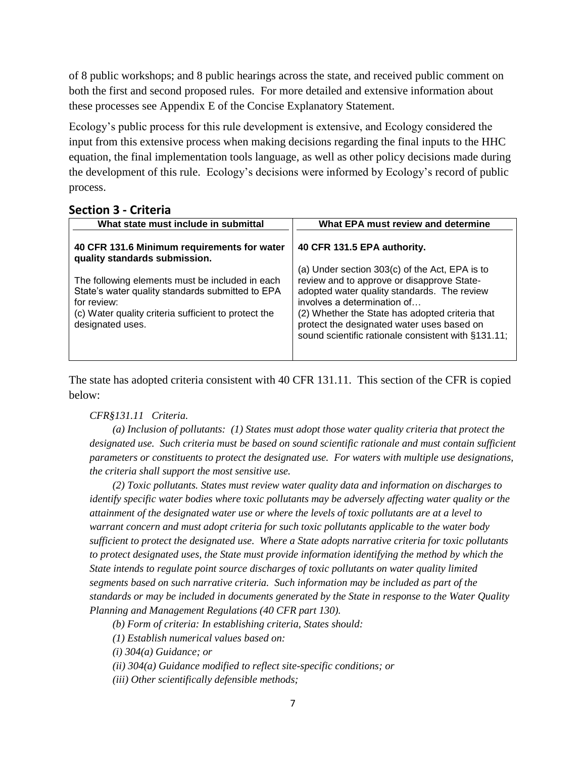of 8 public workshops; and 8 public hearings across the state, and received public comment on both the first and second proposed rules. For more detailed and extensive information about these processes see Appendix E of the Concise Explanatory Statement.

Ecology's public process for this rule development is extensive, and Ecology considered the input from this extensive process when making decisions regarding the final inputs to the HHC equation, the final implementation tools language, as well as other policy decisions made during the development of this rule. Ecology's decisions were informed by Ecology's record of public process.

#### **Section 3 - Criteria**

| What state must include in submittal                                                                                                                                                           | What EPA must review and determine                                                                                                                                                                                                                                                                                                 |
|------------------------------------------------------------------------------------------------------------------------------------------------------------------------------------------------|------------------------------------------------------------------------------------------------------------------------------------------------------------------------------------------------------------------------------------------------------------------------------------------------------------------------------------|
| 40 CFR 131.6 Minimum requirements for water<br>quality standards submission.                                                                                                                   | 40 CFR 131.5 EPA authority.                                                                                                                                                                                                                                                                                                        |
| The following elements must be included in each<br>State's water quality standards submitted to EPA<br>for review:<br>(c) Water quality criteria sufficient to protect the<br>designated uses. | (a) Under section 303(c) of the Act, EPA is to<br>review and to approve or disapprove State-<br>adopted water quality standards. The review<br>involves a determination of<br>(2) Whether the State has adopted criteria that<br>protect the designated water uses based on<br>sound scientific rationale consistent with §131.11; |

The state has adopted criteria consistent with 40 CFR 131.11. This section of the CFR is copied below:

#### *CFR§131.11 Criteria.*

*(a) Inclusion of pollutants: (1) States must adopt those water quality criteria that protect the designated use. Such criteria must be based on sound scientific rationale and must contain sufficient parameters or constituents to protect the designated use. For waters with multiple use designations, the criteria shall support the most sensitive use.*

*(2) Toxic pollutants. States must review water quality data and information on discharges to identify specific water bodies where toxic pollutants may be adversely affecting water quality or the attainment of the designated water use or where the levels of toxic pollutants are at a level to warrant concern and must adopt criteria for such toxic pollutants applicable to the water body sufficient to protect the designated use. Where a State adopts narrative criteria for toxic pollutants to protect designated uses, the State must provide information identifying the method by which the State intends to regulate point source discharges of toxic pollutants on water quality limited segments based on such narrative criteria. Such information may be included as part of the standards or may be included in documents generated by the State in response to the Water Quality Planning and Management Regulations (40 CFR part 130).*

*(b) Form of criteria: In establishing criteria, States should:*

*(1) Establish numerical values based on:*

*(i) 304(a) Guidance; or*

*(ii) 304(a) Guidance modified to reflect site-specific conditions; or*

*(iii) Other scientifically defensible methods;*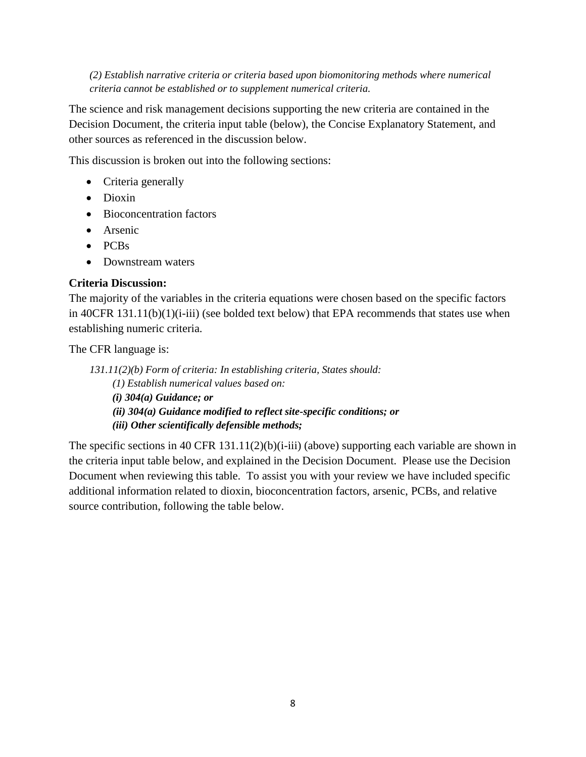*(2) Establish narrative criteria or criteria based upon biomonitoring methods where numerical criteria cannot be established or to supplement numerical criteria.*

The science and risk management decisions supporting the new criteria are contained in the Decision Document, the criteria input table (below), the Concise Explanatory Statement, and other sources as referenced in the discussion below.

This discussion is broken out into the following sections:

- Criteria generally
- Dioxin
- Bioconcentration factors
- Arsenic
- PCBs
- Downstream waters

#### **Criteria Discussion:**

The majority of the variables in the criteria equations were chosen based on the specific factors in 40CFR 131.11(b)(1)(i-iii) (see bolded text below) that EPA recommends that states use when establishing numeric criteria.

The CFR language is:

*131.11(2)(b) Form of criteria: In establishing criteria, States should: (1) Establish numerical values based on: (i) 304(a) Guidance; or (ii) 304(a) Guidance modified to reflect site-specific conditions; or (iii) Other scientifically defensible methods;*

The specific sections in 40 CFR  $131.11(2)(b)(i-iii)$  (above) supporting each variable are shown in the criteria input table below, and explained in the Decision Document. Please use the Decision Document when reviewing this table. To assist you with your review we have included specific additional information related to dioxin, bioconcentration factors, arsenic, PCBs, and relative source contribution, following the table below.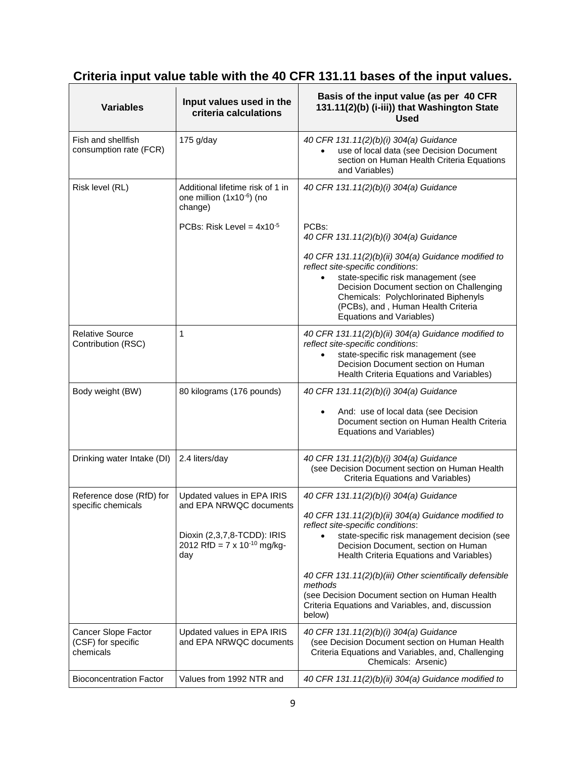# **Criteria input value table with the 40 CFR 131.11 bases of the input values.**

| <b>Variables</b>                                       | Input values used in the<br>criteria calculations                                                                                    | Basis of the input value (as per 40 CFR<br>131.11(2)(b) (i-iii)) that Washington State<br><b>Used</b>                                                                                                                                                                                                                                                                                                       |
|--------------------------------------------------------|--------------------------------------------------------------------------------------------------------------------------------------|-------------------------------------------------------------------------------------------------------------------------------------------------------------------------------------------------------------------------------------------------------------------------------------------------------------------------------------------------------------------------------------------------------------|
| Fish and shellfish<br>consumption rate (FCR)           | 175 g/day                                                                                                                            | 40 CFR 131.11(2)(b)(i) 304(a) Guidance<br>use of local data (see Decision Document<br>section on Human Health Criteria Equations<br>and Variables)                                                                                                                                                                                                                                                          |
| Risk level (RL)                                        | Additional lifetime risk of 1 in<br>one million (1x10-6) (no<br>change)                                                              | 40 CFR 131.11(2)(b)(i) 304(a) Guidance                                                                                                                                                                                                                                                                                                                                                                      |
|                                                        | PCBs: Risk Level = $4x10^{-5}$                                                                                                       | PCB <sub>s</sub> :<br>40 CFR 131.11(2)(b)(i) 304(a) Guidance                                                                                                                                                                                                                                                                                                                                                |
|                                                        |                                                                                                                                      | 40 CFR 131.11(2)(b)(ii) 304(a) Guidance modified to<br>reflect site-specific conditions:<br>state-specific risk management (see<br>$\bullet$<br>Decision Document section on Challenging<br>Chemicals: Polychlorinated Biphenyls<br>(PCBs), and, Human Health Criteria<br>Equations and Variables)                                                                                                          |
| <b>Relative Source</b><br>Contribution (RSC)           | 1                                                                                                                                    | 40 CFR 131.11(2)(b)(ii) 304(a) Guidance modified to<br>reflect site-specific conditions:<br>state-specific risk management (see<br>Decision Document section on Human<br>Health Criteria Equations and Variables)                                                                                                                                                                                           |
| Body weight (BW)                                       | 80 kilograms (176 pounds)                                                                                                            | 40 CFR 131.11(2)(b)(i) 304(a) Guidance<br>And: use of local data (see Decision<br>Document section on Human Health Criteria<br>Equations and Variables)                                                                                                                                                                                                                                                     |
| Drinking water Intake (DI)                             | 2.4 liters/day                                                                                                                       | 40 CFR 131.11(2)(b)(i) 304(a) Guidance<br>(see Decision Document section on Human Health<br>Criteria Equations and Variables)                                                                                                                                                                                                                                                                               |
| Reference dose (RfD) for<br>specific chemicals         | Updated values in EPA IRIS<br>and EPA NRWQC documents<br>Dioxin (2,3,7,8-TCDD): IRIS<br>2012 RfD = $7 \times 10^{-10}$ mg/kg-<br>day | 40 CFR 131.11(2)(b)(i) 304(a) Guidance<br>40 CFR 131.11(2)(b)(ii) 304(a) Guidance modified to<br>reflect site-specific conditions:<br>state-specific risk management decision (see<br>$\bullet$<br>Decision Document, section on Human<br>Health Criteria Equations and Variables)<br>40 CFR 131.11(2)(b)(iii) Other scientifically defensible<br>methods<br>(see Decision Document section on Human Health |
|                                                        |                                                                                                                                      | Criteria Equations and Variables, and, discussion<br>below)                                                                                                                                                                                                                                                                                                                                                 |
| Cancer Slope Factor<br>(CSF) for specific<br>chemicals | Updated values in EPA IRIS<br>and EPA NRWQC documents                                                                                | 40 CFR 131.11(2)(b)(i) 304(a) Guidance<br>(see Decision Document section on Human Health<br>Criteria Equations and Variables, and, Challenging<br>Chemicals: Arsenic)                                                                                                                                                                                                                                       |
| <b>Bioconcentration Factor</b>                         | Values from 1992 NTR and                                                                                                             | 40 CFR 131.11(2)(b)(ii) 304(a) Guidance modified to                                                                                                                                                                                                                                                                                                                                                         |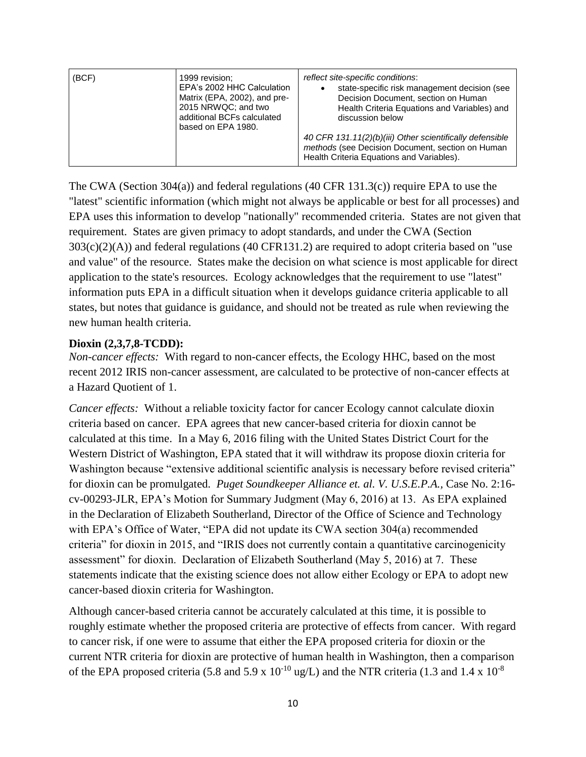| (BCF)<br>1999 revision:<br>EPA's 2002 HHC Calculation<br>Matrix (EPA, 2002), and pre-<br>2015 NRWQC; and two<br>additional BCFs calculated<br>based on EPA 1980. | reflect site-specific conditions:<br>state-specific risk management decision (see<br>Decision Document, section on Human<br>Health Criteria Equations and Variables) and<br>discussion below<br>40 CFR 131.11(2)(b)(iii) Other scientifically defensible<br>methods (see Decision Document, section on Human<br>Health Criteria Equations and Variables). |
|------------------------------------------------------------------------------------------------------------------------------------------------------------------|-----------------------------------------------------------------------------------------------------------------------------------------------------------------------------------------------------------------------------------------------------------------------------------------------------------------------------------------------------------|
|------------------------------------------------------------------------------------------------------------------------------------------------------------------|-----------------------------------------------------------------------------------------------------------------------------------------------------------------------------------------------------------------------------------------------------------------------------------------------------------------------------------------------------------|

The CWA (Section 304(a)) and federal regulations (40 CFR 131.3(c)) require EPA to use the "latest" scientific information (which might not always be applicable or best for all processes) and EPA uses this information to develop "nationally" recommended criteria. States are not given that requirement. States are given primacy to adopt standards, and under the CWA (Section 303(c)(2)(A)) and federal regulations (40 CFR131.2) are required to adopt criteria based on "use and value" of the resource. States make the decision on what science is most applicable for direct application to the state's resources. Ecology acknowledges that the requirement to use "latest" information puts EPA in a difficult situation when it develops guidance criteria applicable to all states, but notes that guidance is guidance, and should not be treated as rule when reviewing the new human health criteria.

#### **Dioxin (2,3,7,8-TCDD):**

*Non-cancer effects:* With regard to non-cancer effects, the Ecology HHC, based on the most recent 2012 IRIS non-cancer assessment, are calculated to be protective of non-cancer effects at a Hazard Quotient of 1.

*Cancer effects:* Without a reliable toxicity factor for cancer Ecology cannot calculate dioxin criteria based on cancer. EPA agrees that new cancer-based criteria for dioxin cannot be calculated at this time. In a May 6, 2016 filing with the United States District Court for the Western District of Washington, EPA stated that it will withdraw its propose dioxin criteria for Washington because "extensive additional scientific analysis is necessary before revised criteria" for dioxin can be promulgated. *Puget Soundkeeper Alliance et. al. V. U.S.E.P.A.,* Case No. 2:16 cv-00293-JLR, EPA's Motion for Summary Judgment (May 6, 2016) at 13. As EPA explained in the Declaration of Elizabeth Southerland, Director of the Office of Science and Technology with EPA's Office of Water, "EPA did not update its CWA section 304(a) recommended criteria" for dioxin in 2015, and "IRIS does not currently contain a quantitative carcinogenicity assessment" for dioxin. Declaration of Elizabeth Southerland (May 5, 2016) at 7. These statements indicate that the existing science does not allow either Ecology or EPA to adopt new cancer-based dioxin criteria for Washington.

Although cancer-based criteria cannot be accurately calculated at this time, it is possible to roughly estimate whether the proposed criteria are protective of effects from cancer. With regard to cancer risk, if one were to assume that either the EPA proposed criteria for dioxin or the current NTR criteria for dioxin are protective of human health in Washington, then a comparison of the EPA proposed criteria (5.8 and 5.9 x  $10^{-10}$  ug/L) and the NTR criteria (1.3 and 1.4 x  $10^{-8}$ )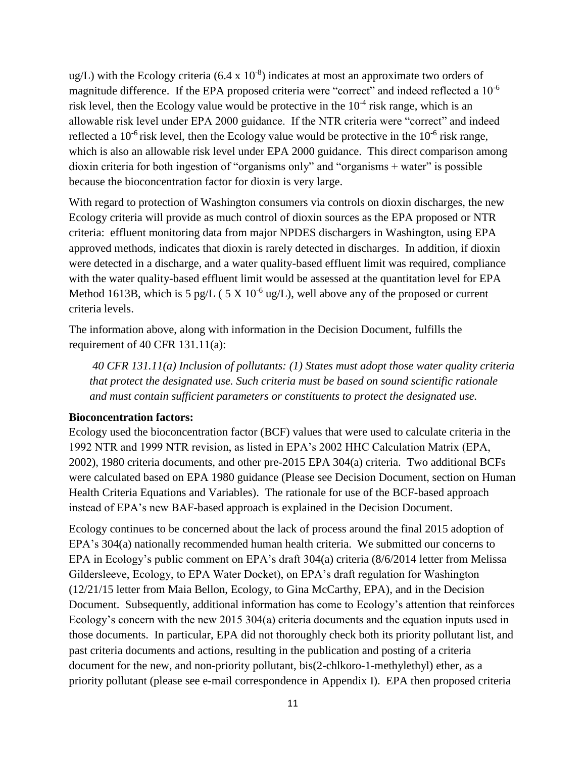$\text{ug/L}$ ) with the Ecology criteria (6.4 x 10<sup>-8</sup>) indicates at most an approximate two orders of magnitude difference. If the EPA proposed criteria were "correct" and indeed reflected a 10<sup>-6</sup> risk level, then the Ecology value would be protective in the  $10^{-4}$  risk range, which is an allowable risk level under EPA 2000 guidance. If the NTR criteria were "correct" and indeed reflected a 10<sup>-6</sup> risk level, then the Ecology value would be protective in the  $10^{-6}$  risk range, which is also an allowable risk level under EPA 2000 guidance. This direct comparison among dioxin criteria for both ingestion of "organisms only" and "organisms + water" is possible because the bioconcentration factor for dioxin is very large.

With regard to protection of Washington consumers via controls on dioxin discharges, the new Ecology criteria will provide as much control of dioxin sources as the EPA proposed or NTR criteria: effluent monitoring data from major NPDES dischargers in Washington, using EPA approved methods, indicates that dioxin is rarely detected in discharges. In addition, if dioxin were detected in a discharge, and a water quality-based effluent limit was required, compliance with the water quality-based effluent limit would be assessed at the quantitation level for EPA Method 1613B, which is 5 pg/L (5 X 10<sup>-6</sup> ug/L), well above any of the proposed or current criteria levels.

The information above, along with information in the Decision Document, fulfills the requirement of 40 CFR 131.11(a):

*40 CFR 131.11(a) Inclusion of pollutants: (1) States must adopt those water quality criteria that protect the designated use. Such criteria must be based on sound scientific rationale and must contain sufficient parameters or constituents to protect the designated use.*

#### **Bioconcentration factors:**

Ecology used the bioconcentration factor (BCF) values that were used to calculate criteria in the 1992 NTR and 1999 NTR revision, as listed in EPA's 2002 HHC Calculation Matrix (EPA, 2002), 1980 criteria documents, and other pre-2015 EPA 304(a) criteria. Two additional BCFs were calculated based on EPA 1980 guidance (Please see Decision Document, section on Human Health Criteria Equations and Variables). The rationale for use of the BCF-based approach instead of EPA's new BAF-based approach is explained in the Decision Document.

Ecology continues to be concerned about the lack of process around the final 2015 adoption of EPA's 304(a) nationally recommended human health criteria. We submitted our concerns to EPA in Ecology's public comment on EPA's draft 304(a) criteria (8/6/2014 letter from Melissa Gildersleeve, Ecology, to EPA Water Docket), on EPA's draft regulation for Washington (12/21/15 letter from Maia Bellon, Ecology, to Gina McCarthy, EPA), and in the Decision Document. Subsequently, additional information has come to Ecology's attention that reinforces Ecology's concern with the new 2015 304(a) criteria documents and the equation inputs used in those documents. In particular, EPA did not thoroughly check both its priority pollutant list, and past criteria documents and actions, resulting in the publication and posting of a criteria document for the new, and non-priority pollutant, bis(2-chlkoro-1-methylethyl) ether, as a priority pollutant (please see e-mail correspondence in Appendix I). EPA then proposed criteria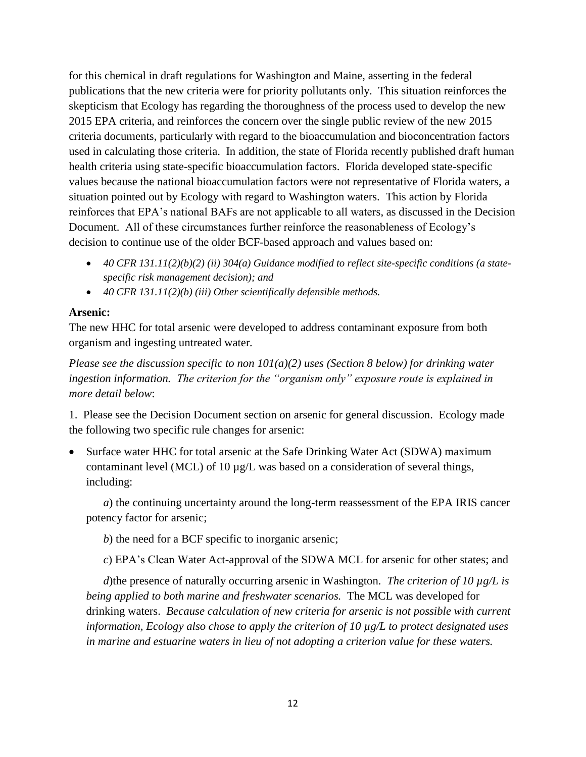for this chemical in draft regulations for Washington and Maine, asserting in the federal publications that the new criteria were for priority pollutants only. This situation reinforces the skepticism that Ecology has regarding the thoroughness of the process used to develop the new 2015 EPA criteria, and reinforces the concern over the single public review of the new 2015 criteria documents, particularly with regard to the bioaccumulation and bioconcentration factors used in calculating those criteria. In addition, the state of Florida recently published draft human health criteria using state-specific bioaccumulation factors. Florida developed state-specific values because the national bioaccumulation factors were not representative of Florida waters, a situation pointed out by Ecology with regard to Washington waters. This action by Florida reinforces that EPA's national BAFs are not applicable to all waters, as discussed in the Decision Document. All of these circumstances further reinforce the reasonableness of Ecology's decision to continue use of the older BCF-based approach and values based on:

- *40 CFR 131.11(2)(b)(2) (ii) 304(a) Guidance modified to reflect site-specific conditions (a statespecific risk management decision); and*
- *40 CFR 131.11(2)(b) (iii) Other scientifically defensible methods.*

#### **Arsenic:**

The new HHC for total arsenic were developed to address contaminant exposure from both organism and ingesting untreated water*.*

*Please see the discussion specific to non 101(a)(2) uses (Section 8 below) for drinking water ingestion information. The criterion for the "organism only" exposure route is explained in more detail below*:

1. Please see the Decision Document section on arsenic for general discussion. Ecology made the following two specific rule changes for arsenic:

 Surface water HHC for total arsenic at the Safe Drinking Water Act (SDWA) maximum contaminant level (MCL) of 10  $\mu$ g/L was based on a consideration of several things, including:

*a*) the continuing uncertainty around the long-term reassessment of the EPA IRIS cancer potency factor for arsenic;

*b*) the need for a BCF specific to inorganic arsenic;

*c*) EPA's Clean Water Act-approval of the SDWA MCL for arsenic for other states; and

*d*)the presence of naturally occurring arsenic in Washington. *The criterion of 10 µg/L is being applied to both marine and freshwater scenarios.* The MCL was developed for drinking waters. *Because calculation of new criteria for arsenic is not possible with current information, Ecology also chose to apply the criterion of 10 µg/L to protect designated uses in marine and estuarine waters in lieu of not adopting a criterion value for these waters.*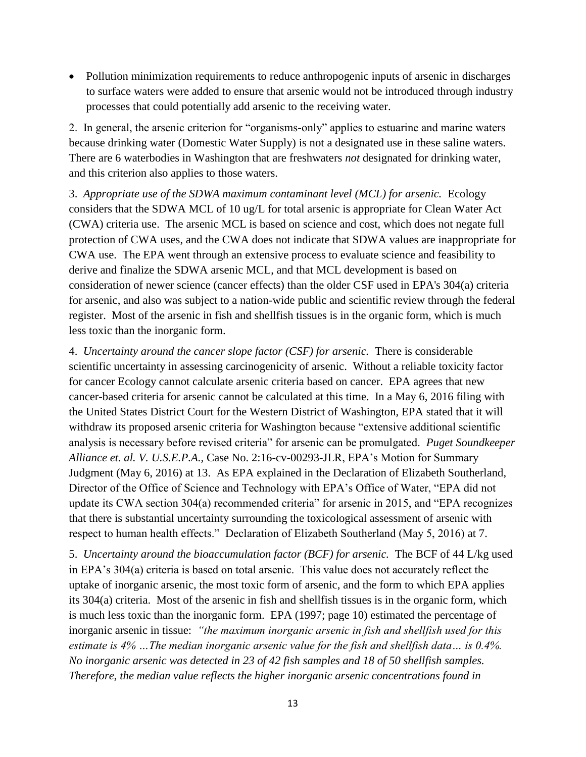• Pollution minimization requirements to reduce anthropogenic inputs of arsenic in discharges to surface waters were added to ensure that arsenic would not be introduced through industry processes that could potentially add arsenic to the receiving water.

2. In general, the arsenic criterion for "organisms-only" applies to estuarine and marine waters because drinking water (Domestic Water Supply) is not a designated use in these saline waters. There are 6 waterbodies in Washington that are freshwaters *not* designated for drinking water, and this criterion also applies to those waters.

3. *Appropriate use of the SDWA maximum contaminant level (MCL) for arsenic.* Ecology considers that the SDWA MCL of 10 ug/L for total arsenic is appropriate for Clean Water Act (CWA) criteria use. The arsenic MCL is based on science and cost, which does not negate full protection of CWA uses, and the CWA does not indicate that SDWA values are inappropriate for CWA use. The EPA went through an extensive process to evaluate science and feasibility to derive and finalize the SDWA arsenic MCL, and that MCL development is based on consideration of newer science (cancer effects) than the older CSF used in EPA's 304(a) criteria for arsenic, and also was subject to a nation-wide public and scientific review through the federal register. Most of the arsenic in fish and shellfish tissues is in the organic form, which is much less toxic than the inorganic form.

4. *Uncertainty around the cancer slope factor (CSF) for arsenic.* There is considerable scientific uncertainty in assessing carcinogenicity of arsenic. Without a reliable toxicity factor for cancer Ecology cannot calculate arsenic criteria based on cancer. EPA agrees that new cancer-based criteria for arsenic cannot be calculated at this time. In a May 6, 2016 filing with the United States District Court for the Western District of Washington, EPA stated that it will withdraw its proposed arsenic criteria for Washington because "extensive additional scientific analysis is necessary before revised criteria" for arsenic can be promulgated. *Puget Soundkeeper Alliance et. al. V. U.S.E.P.A.,* Case No. 2:16-cv-00293-JLR, EPA's Motion for Summary Judgment (May 6, 2016) at 13. As EPA explained in the Declaration of Elizabeth Southerland, Director of the Office of Science and Technology with EPA's Office of Water, "EPA did not update its CWA section 304(a) recommended criteria" for arsenic in 2015, and "EPA recognizes that there is substantial uncertainty surrounding the toxicological assessment of arsenic with respect to human health effects." Declaration of Elizabeth Southerland (May 5, 2016) at 7.

5. *Uncertainty around the bioaccumulation factor (BCF) for arsenic.* The BCF of 44 L/kg used in EPA's 304(a) criteria is based on total arsenic. This value does not accurately reflect the uptake of inorganic arsenic, the most toxic form of arsenic, and the form to which EPA applies its 304(a) criteria. Most of the arsenic in fish and shellfish tissues is in the organic form, which is much less toxic than the inorganic form. EPA (1997; page 10) estimated the percentage of inorganic arsenic in tissue: *"the maximum inorganic arsenic in fish and shellfish used for this estimate is 4% …The median inorganic arsenic value for the fish and shellfish data… is 0.4%. No inorganic arsenic was detected in 23 of 42 fish samples and 18 of 50 shellfish samples. Therefore, the median value reflects the higher inorganic arsenic concentrations found in*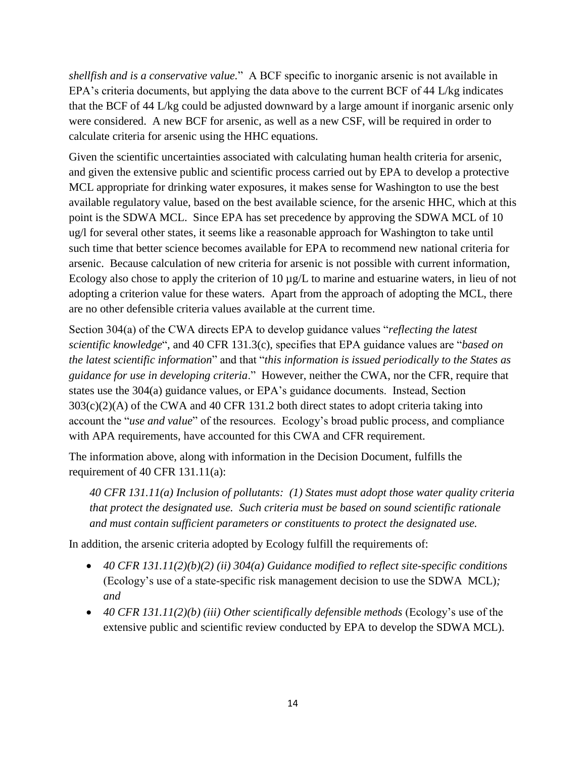*shellfish and is a conservative value.*" A BCF specific to inorganic arsenic is not available in EPA's criteria documents, but applying the data above to the current BCF of 44 L/kg indicates that the BCF of 44 L/kg could be adjusted downward by a large amount if inorganic arsenic only were considered. A new BCF for arsenic, as well as a new CSF, will be required in order to calculate criteria for arsenic using the HHC equations.

Given the scientific uncertainties associated with calculating human health criteria for arsenic, and given the extensive public and scientific process carried out by EPA to develop a protective MCL appropriate for drinking water exposures, it makes sense for Washington to use the best available regulatory value, based on the best available science, for the arsenic HHC, which at this point is the SDWA MCL. Since EPA has set precedence by approving the SDWA MCL of 10 ug/l for several other states, it seems like a reasonable approach for Washington to take until such time that better science becomes available for EPA to recommend new national criteria for arsenic. Because calculation of new criteria for arsenic is not possible with current information, Ecology also chose to apply the criterion of 10  $\mu$ g/L to marine and estuarine waters, in lieu of not adopting a criterion value for these waters. Apart from the approach of adopting the MCL, there are no other defensible criteria values available at the current time.

Section 304(a) of the CWA directs EPA to develop guidance values "*reflecting the latest scientific knowledge*", and 40 CFR 131.3(c), specifies that EPA guidance values are "*based on the latest scientific information*" and that "*this information is issued periodically to the States as guidance for use in developing criteria*." However, neither the CWA, nor the CFR, require that states use the 304(a) guidance values, or EPA's guidance documents. Instead, Section 303(c)(2)(A) of the CWA and 40 CFR 131.2 both direct states to adopt criteria taking into account the "*use and value*" of the resources. Ecology's broad public process, and compliance with APA requirements, have accounted for this CWA and CFR requirement.

The information above, along with information in the Decision Document, fulfills the requirement of 40 CFR 131.11(a):

*40 CFR 131.11(a) Inclusion of pollutants: (1) States must adopt those water quality criteria that protect the designated use. Such criteria must be based on sound scientific rationale and must contain sufficient parameters or constituents to protect the designated use.*

In addition, the arsenic criteria adopted by Ecology fulfill the requirements of:

- *40 CFR 131.11(2)(b)(2) (ii) 304(a) Guidance modified to reflect site-specific conditions*  (Ecology's use of a state-specific risk management decision to use the SDWA MCL)*; and*
- 40 CFR 131.11(2)(b) (iii) Other scientifically defensible methods (Ecology's use of the extensive public and scientific review conducted by EPA to develop the SDWA MCL)*.*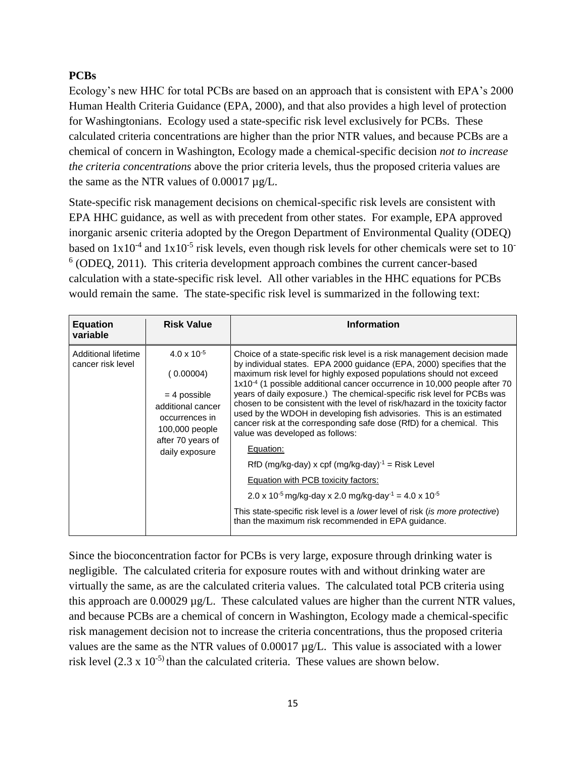#### **PCBs**

Ecology's new HHC for total PCBs are based on an approach that is consistent with EPA's 2000 Human Health Criteria Guidance (EPA, 2000), and that also provides a high level of protection for Washingtonians. Ecology used a state-specific risk level exclusively for PCBs. These calculated criteria concentrations are higher than the prior NTR values, and because PCBs are a chemical of concern in Washington, Ecology made a chemical-specific decision *not to increase the criteria concentrations* above the prior criteria levels, thus the proposed criteria values are the same as the NTR values of  $0.00017 \mu g/L$ .

State-specific risk management decisions on chemical-specific risk levels are consistent with EPA HHC guidance, as well as with precedent from other states. For example, EPA approved inorganic arsenic criteria adopted by the Oregon Department of Environmental Quality (ODEQ) based on  $1x10^{-4}$  and  $1x10^{-5}$  risk levels, even though risk levels for other chemicals were set to 10<sup>-</sup> 6 (ODEQ, 2011). This criteria development approach combines the current cancer-based calculation with a state-specific risk level. All other variables in the HHC equations for PCBs would remain the same. The state-specific risk level is summarized in the following text:

| <b>Equation</b><br>variable              | <b>Risk Value</b>                                                                                                                                   | <b>Information</b>                                                                                                                                                                                                                                                                                                                                                                                                                                                                                                                                                                                                                                                                                                                                                                                                                                                                                                                                                                                                           |
|------------------------------------------|-----------------------------------------------------------------------------------------------------------------------------------------------------|------------------------------------------------------------------------------------------------------------------------------------------------------------------------------------------------------------------------------------------------------------------------------------------------------------------------------------------------------------------------------------------------------------------------------------------------------------------------------------------------------------------------------------------------------------------------------------------------------------------------------------------------------------------------------------------------------------------------------------------------------------------------------------------------------------------------------------------------------------------------------------------------------------------------------------------------------------------------------------------------------------------------------|
| Additional lifetime<br>cancer risk level | $4.0 \times 10^{-5}$<br>(0.00004)<br>$=$ 4 possible<br>additional cancer<br>occurrences in<br>100,000 people<br>after 70 years of<br>daily exposure | Choice of a state-specific risk level is a risk management decision made<br>by individual states. EPA 2000 guidance (EPA, 2000) specifies that the<br>maximum risk level for highly exposed populations should not exceed<br>1x10 <sup>-4</sup> (1 possible additional cancer occurrence in 10,000 people after 70<br>years of daily exposure.) The chemical-specific risk level for PCBs was<br>chosen to be consistent with the level of risk/hazard in the toxicity factor<br>used by the WDOH in developing fish advisories. This is an estimated<br>cancer risk at the corresponding safe dose (RfD) for a chemical. This<br>value was developed as follows:<br>Equation:<br>RfD (mg/kg-day) x cpf (mg/kg-day) $^{-1}$ = Risk Level<br>Equation with PCB toxicity factors:<br>$2.0 \times 10^{-5}$ mg/kg-day x 2.0 mg/kg-day <sup>-1</sup> = 4.0 x 10 <sup>-5</sup><br>This state-specific risk level is a <i>lower</i> level of risk <i>(is more protective)</i><br>than the maximum risk recommended in EPA guidance. |

Since the bioconcentration factor for PCBs is very large, exposure through drinking water is negligible. The calculated criteria for exposure routes with and without drinking water are virtually the same, as are the calculated criteria values. The calculated total PCB criteria using this approach are 0.00029 µg/L. These calculated values are higher than the current NTR values, and because PCBs are a chemical of concern in Washington, Ecology made a chemical-specific risk management decision not to increase the criteria concentrations, thus the proposed criteria values are the same as the NTR values of 0.00017 µg/L. This value is associated with a lower risk level  $(2.3 \times 10^{-5})$  than the calculated criteria. These values are shown below.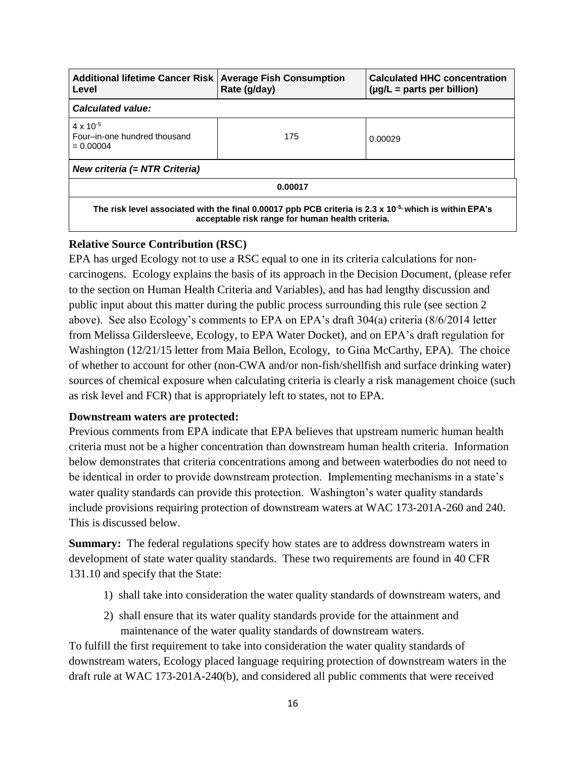| <b>Additional lifetime Cancer Risk</b><br>Level                                                                                                                        | <b>Average Fish Consumption</b><br>Rate (g/day) | <b>Calculated HHC concentration</b><br>$(\mu g/L =$ parts per billion) |
|------------------------------------------------------------------------------------------------------------------------------------------------------------------------|-------------------------------------------------|------------------------------------------------------------------------|
| <b>Calculated value:</b>                                                                                                                                               |                                                 |                                                                        |
| $4 \times 10^{-5}$<br>Four-in-one hundred thousand<br>$= 0.00004$                                                                                                      | 175                                             | 0.00029                                                                |
| New criteria (= NTR Criteria)                                                                                                                                          |                                                 |                                                                        |
| 0.00017                                                                                                                                                                |                                                 |                                                                        |
| The risk level associated with the final 0.00017 ppb PCB criteria is 2.3 x 10 <sup>-5,</sup> which is within EPA's<br>acceptable risk range for human health criteria. |                                                 |                                                                        |

#### **Relative Source Contribution (RSC)**

EPA has urged Ecology not to use a RSC equal to one in its criteria calculations for noncarcinogens. Ecology explains the basis of its approach in the Decision Document, (please refer to the section on Human Health Criteria and Variables), and has had lengthy discussion and public input about this matter during the public process surrounding this rule (see section 2 above). See also Ecology's comments to EPA on EPA's draft 304(a) criteria (8/6/2014 letter from Melissa Gildersleeve, Ecology, to EPA Water Docket), and on EPA's draft regulation for Washington (12/21/15 letter from Maia Bellon, Ecology, to Gina McCarthy, EPA). The choice of whether to account for other (non-CWA and/or non-fish/shellfish and surface drinking water) sources of chemical exposure when calculating criteria is clearly a risk management choice (such as risk level and FCR) that is appropriately left to states, not to EPA.

#### **Downstream waters are protected:**

Previous comments from EPA indicate that EPA believes that upstream numeric human health criteria must not be a higher concentration than downstream human health criteria. Information below demonstrates that criteria concentrations among and between waterbodies do not need to be identical in order to provide downstream protection. Implementing mechanisms in a state's water quality standards can provide this protection. Washington's water quality standards include provisions requiring protection of downstream waters at WAC 173-201A-260 and 240. This is discussed below.

**Summary:** The federal regulations specify how states are to address downstream waters in development of state water quality standards. These two requirements are found in 40 CFR 131.10 and specify that the State:

- 1) shall take into consideration the water quality standards of downstream waters, and
- 2) shall ensure that its water quality standards provide for the attainment and maintenance of the water quality standards of downstream waters.

To fulfill the first requirement to take into consideration the water quality standards of downstream waters, Ecology placed language requiring protection of downstream waters in the draft rule at WAC 173-201A-240(b), and considered all public comments that were received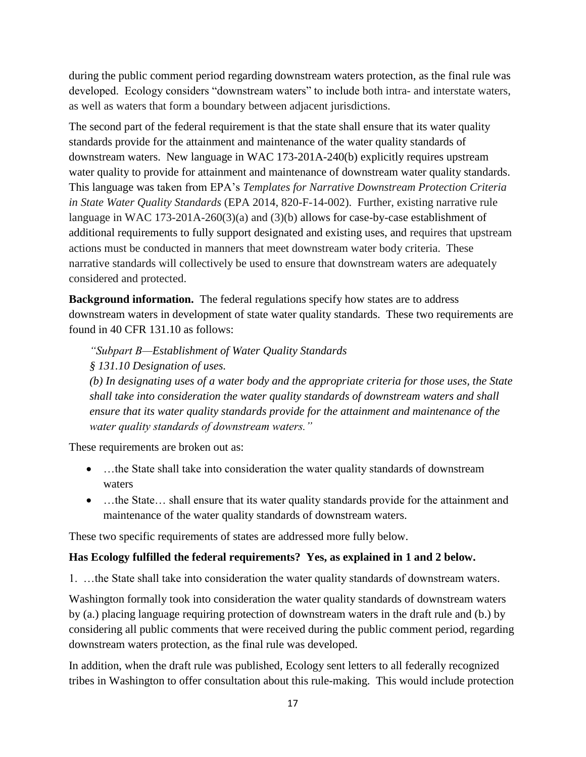during the public comment period regarding downstream waters protection, as the final rule was developed. Ecology considers "downstream waters" to include both intra- and interstate waters, as well as waters that form a boundary between adjacent jurisdictions.

The second part of the federal requirement is that the state shall ensure that its water quality standards provide for the attainment and maintenance of the water quality standards of downstream waters. New language in WAC 173-201A-240(b) explicitly requires upstream water quality to provide for attainment and maintenance of downstream water quality standards. This language was taken from EPA's *Templates for Narrative Downstream Protection Criteria in State Water Quality Standards* (EPA 2014, 820-F-14-002). Further, existing narrative rule language in WAC 173-201A-260(3)(a) and (3)(b) allows for case-by-case establishment of additional requirements to fully support designated and existing uses, and requires that upstream actions must be conducted in manners that meet downstream water body criteria. These narrative standards will collectively be used to ensure that downstream waters are adequately considered and protected.

**Background information.** The federal regulations specify how states are to address downstream waters in development of state water quality standards. These two requirements are found in 40 CFR 131.10 as follows:

*"Subpart B—Establishment of Water Quality Standards*

*§ 131.10 Designation of uses.*

*(b) In designating uses of a water body and the appropriate criteria for those uses, the State shall take into consideration the water quality standards of downstream waters and shall ensure that its water quality standards provide for the attainment and maintenance of the water quality standards of downstream waters."*

These requirements are broken out as:

- …the State shall take into consideration the water quality standards of downstream waters
- ...the State... shall ensure that its water quality standards provide for the attainment and maintenance of the water quality standards of downstream waters.

These two specific requirements of states are addressed more fully below.

#### **Has Ecology fulfilled the federal requirements? Yes, as explained in 1 and 2 below.**

1. …the State shall take into consideration the water quality standards of downstream waters.

Washington formally took into consideration the water quality standards of downstream waters by (a.) placing language requiring protection of downstream waters in the draft rule and (b.) by considering all public comments that were received during the public comment period, regarding downstream waters protection, as the final rule was developed.

In addition, when the draft rule was published, Ecology sent letters to all federally recognized tribes in Washington to offer consultation about this rule-making. This would include protection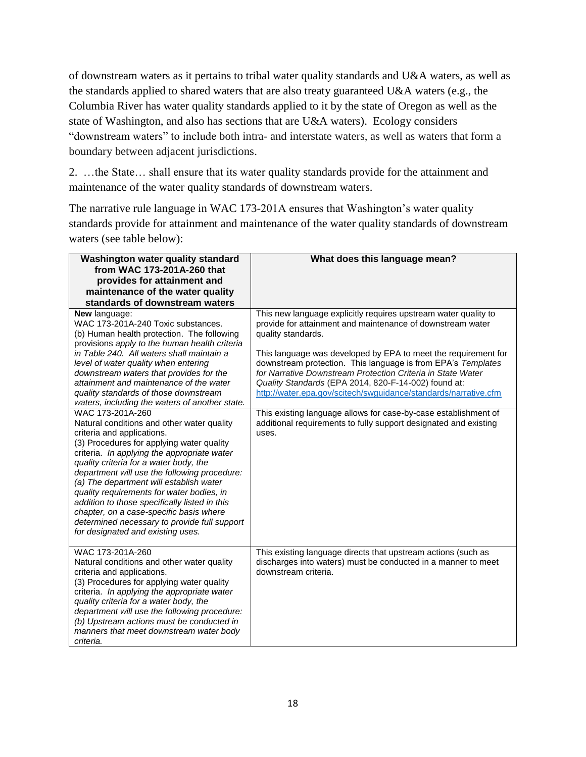of downstream waters as it pertains to tribal water quality standards and U&A waters, as well as the standards applied to shared waters that are also treaty guaranteed U&A waters (e.g., the Columbia River has water quality standards applied to it by the state of Oregon as well as the state of Washington, and also has sections that are U&A waters). Ecology considers "downstream waters" to include both intra- and interstate waters, as well as waters that form a boundary between adjacent jurisdictions.

2. …the State… shall ensure that its water quality standards provide for the attainment and maintenance of the water quality standards of downstream waters.

The narrative rule language in WAC 173-201A ensures that Washington's water quality standards provide for attainment and maintenance of the water quality standards of downstream waters (see table below):

| Washington water quality standard                                                                                                                                                                                                                                                                                                                                                                                                                                                                                                                                                                                                                                                                                                                                                                                                                                                                                                                         | What does this language mean?                                                                                                                                                                                                                                                                                                                                                                                                                                                                                                                                                                                                   |
|-----------------------------------------------------------------------------------------------------------------------------------------------------------------------------------------------------------------------------------------------------------------------------------------------------------------------------------------------------------------------------------------------------------------------------------------------------------------------------------------------------------------------------------------------------------------------------------------------------------------------------------------------------------------------------------------------------------------------------------------------------------------------------------------------------------------------------------------------------------------------------------------------------------------------------------------------------------|---------------------------------------------------------------------------------------------------------------------------------------------------------------------------------------------------------------------------------------------------------------------------------------------------------------------------------------------------------------------------------------------------------------------------------------------------------------------------------------------------------------------------------------------------------------------------------------------------------------------------------|
| from WAC 173-201A-260 that                                                                                                                                                                                                                                                                                                                                                                                                                                                                                                                                                                                                                                                                                                                                                                                                                                                                                                                                |                                                                                                                                                                                                                                                                                                                                                                                                                                                                                                                                                                                                                                 |
| provides for attainment and                                                                                                                                                                                                                                                                                                                                                                                                                                                                                                                                                                                                                                                                                                                                                                                                                                                                                                                               |                                                                                                                                                                                                                                                                                                                                                                                                                                                                                                                                                                                                                                 |
| maintenance of the water quality                                                                                                                                                                                                                                                                                                                                                                                                                                                                                                                                                                                                                                                                                                                                                                                                                                                                                                                          |                                                                                                                                                                                                                                                                                                                                                                                                                                                                                                                                                                                                                                 |
| standards of downstream waters                                                                                                                                                                                                                                                                                                                                                                                                                                                                                                                                                                                                                                                                                                                                                                                                                                                                                                                            |                                                                                                                                                                                                                                                                                                                                                                                                                                                                                                                                                                                                                                 |
| <b>New language:</b><br>WAC 173-201A-240 Toxic substances.<br>(b) Human health protection. The following<br>provisions apply to the human health criteria<br>in Table 240. All waters shall maintain a<br>level of water quality when entering<br>downstream waters that provides for the<br>attainment and maintenance of the water<br>quality standards of those downstream<br>waters, including the waters of another state.<br>WAC 173-201A-260<br>Natural conditions and other water quality<br>criteria and applications.<br>(3) Procedures for applying water quality<br>criteria. In applying the appropriate water<br>quality criteria for a water body, the<br>department will use the following procedure:<br>(a) The department will establish water<br>quality requirements for water bodies, in<br>addition to those specifically listed in this<br>chapter, on a case-specific basis where<br>determined necessary to provide full support | This new language explicitly requires upstream water quality to<br>provide for attainment and maintenance of downstream water<br>quality standards.<br>This language was developed by EPA to meet the requirement for<br>downstream protection. This language is from EPA's Templates<br>for Narrative Downstream Protection Criteria in State Water<br>Quality Standards (EPA 2014, 820-F-14-002) found at:<br>http://water.epa.gov/scitech/swguidance/standards/narrative.cfm<br>This existing language allows for case-by-case establishment of<br>additional requirements to fully support designated and existing<br>uses. |
| for designated and existing uses.<br>WAC 173-201A-260<br>Natural conditions and other water quality<br>criteria and applications.<br>(3) Procedures for applying water quality<br>criteria. In applying the appropriate water<br>quality criteria for a water body, the<br>department will use the following procedure:<br>(b) Upstream actions must be conducted in<br>manners that meet downstream water body<br>criteria.                                                                                                                                                                                                                                                                                                                                                                                                                                                                                                                              | This existing language directs that upstream actions (such as<br>discharges into waters) must be conducted in a manner to meet<br>downstream criteria.                                                                                                                                                                                                                                                                                                                                                                                                                                                                          |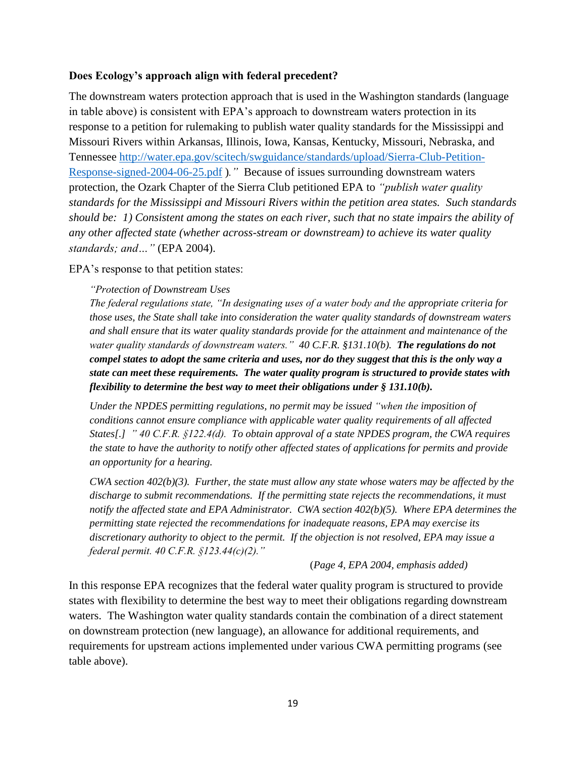#### **Does Ecology's approach align with federal precedent?**

The downstream waters protection approach that is used in the Washington standards (language in table above) is consistent with EPA's approach to downstream waters protection in its response to a petition for rulemaking to publish water quality standards for the Mississippi and Missouri Rivers within Arkansas, Illinois, Iowa, Kansas, Kentucky, Missouri, Nebraska, and Tennessee [http://water.epa.gov/scitech/swguidance/standards/upload/Sierra-Club-Petition-](http://water.epa.gov/scitech/swguidance/standards/upload/Sierra-Club-Petition-Response-signed-2004-06-25.pdf)[Response-signed-2004-06-25.pdf](http://water.epa.gov/scitech/swguidance/standards/upload/Sierra-Club-Petition-Response-signed-2004-06-25.pdf) )*."* Because of issues surrounding downstream waters protection, the Ozark Chapter of the Sierra Club petitioned EPA to *"publish water quality standards for the Mississippi and Missouri Rivers within the petition area states. Such standards should be: 1) Consistent among the states on each river, such that no state impairs the ability of any other affected state (whether across-stream or downstream) to achieve its water quality standards; and…"* (EPA 2004).

EPA's response to that petition states:

#### *"Protection of Downstream Uses*

*The federal regulations state, "In designating uses of a water body and the appropriate criteria for those uses, the State shall take into consideration the water quality standards of downstream waters and shall ensure that its water quality standards provide for the attainment and maintenance of the water quality standards of downstream waters." 40 C.F.R. §131.10(b). The regulations do not compel states to adopt the same criteria and uses, nor do they suggest that this is the only way a state can meet these requirements. The water quality program is structured to provide states with flexibility to determine the best way to meet their obligations under § 131.10(b).*

*Under the NPDES permitting regulations, no permit may be issued "when the imposition of conditions cannot ensure compliance with applicable water quality requirements of all affected States[.] " 40 C.F.R. §122.4(d). To obtain approval of a state NPDES program, the CWA requires the state to have the authority to notify other affected states of applications for permits and provide an opportunity for a hearing.*

*CWA section 402(b)(3). Further, the state must allow any state whose waters may be affected by the discharge to submit recommendations. If the permitting state rejects the recommendations, it must notify the affected state and EPA Administrator. CWA section 402(b)(5). Where EPA determines the permitting state rejected the recommendations for inadequate reasons, EPA may exercise its discretionary authority to object to the permit. If the objection is not resolved, EPA may issue a federal permit. 40 C.F.R. §123.44(c)(2)."*

#### (*Page 4, EPA 2004, emphasis added)*

In this response EPA recognizes that the federal water quality program is structured to provide states with flexibility to determine the best way to meet their obligations regarding downstream waters. The Washington water quality standards contain the combination of a direct statement on downstream protection (new language), an allowance for additional requirements, and requirements for upstream actions implemented under various CWA permitting programs (see table above).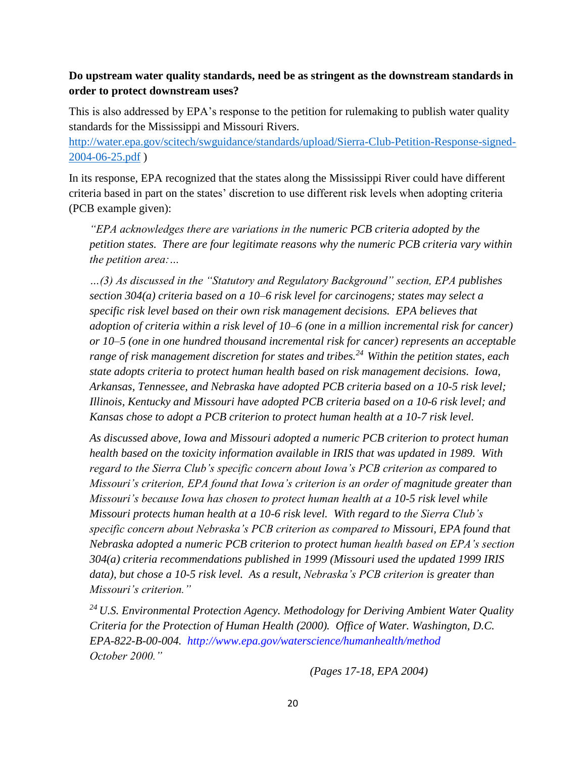#### **Do upstream water quality standards, need be as stringent as the downstream standards in order to protect downstream uses?**

This is also addressed by EPA's response to the petition for rulemaking to publish water quality standards for the Mississippi and Missouri Rivers.

[http://water.epa.gov/scitech/swguidance/standards/upload/Sierra-Club-Petition-Response-signed-](http://water.epa.gov/scitech/swguidance/standards/upload/Sierra-Club-Petition-Response-signed-2004-06-25.pdf)[2004-06-25.pdf](http://water.epa.gov/scitech/swguidance/standards/upload/Sierra-Club-Petition-Response-signed-2004-06-25.pdf) )

In its response, EPA recognized that the states along the Mississippi River could have different criteria based in part on the states' discretion to use different risk levels when adopting criteria (PCB example given):

*"EPA acknowledges there are variations in the numeric PCB criteria adopted by the petition states. There are four legitimate reasons why the numeric PCB criteria vary within the petition area:…*

*…(3) As discussed in the "Statutory and Regulatory Background" section, EPA publishes section 304(a) criteria based on a 10–6 risk level for carcinogens; states may select a specific risk level based on their own risk management decisions. EPA believes that adoption of criteria within a risk level of 10–6 (one in a million incremental risk for cancer) or 10–5 (one in one hundred thousand incremental risk for cancer) represents an acceptable range of risk management discretion for states and tribes.<sup>24</sup>Within the petition states, each state adopts criteria to protect human health based on risk management decisions. Iowa, Arkansas, Tennessee, and Nebraska have adopted PCB criteria based on a 10-5 risk level; Illinois, Kentucky and Missouri have adopted PCB criteria based on a 10-6 risk level; and Kansas chose to adopt a PCB criterion to protect human health at a 10-7 risk level.*

*As discussed above, Iowa and Missouri adopted a numeric PCB criterion to protect human health based on the toxicity information available in IRIS that was updated in 1989. With regard to the Sierra Club's specific concern about Iowa's PCB criterion as compared to Missouri's criterion, EPA found that Iowa's criterion is an order of magnitude greater than Missouri's because Iowa has chosen to protect human health at a 10-5 risk level while Missouri protects human health at a 10-6 risk level. With regard to the Sierra Club's specific concern about Nebraska's PCB criterion as compared to Missouri, EPA found that Nebraska adopted a numeric PCB criterion to protect human health based on EPA's section 304(a) criteria recommendations published in 1999 (Missouri used the updated 1999 IRIS data), but chose a 10-5 risk level. As a result, Nebraska's PCB criterion is greater than Missouri's criterion."*

*<sup>24</sup>U.S. Environmental Protection Agency. Methodology for Deriving Ambient Water Quality Criteria for the Protection of Human Health (2000). Office of Water. Washington, D.C. EPA-822-B-00-004. http://www.epa.gov/waterscience/humanhealth/method October 2000."*

*(Pages 17-18, EPA 2004)*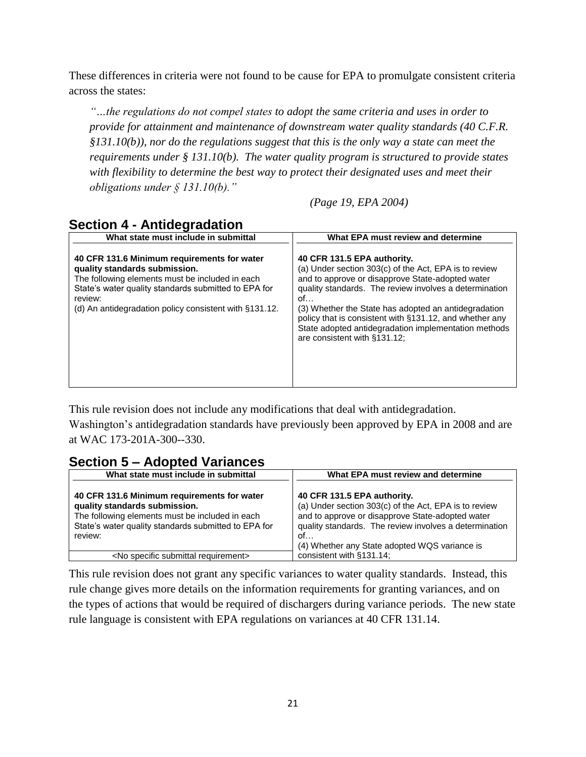These differences in criteria were not found to be cause for EPA to promulgate consistent criteria across the states:

*"…the regulations do not compel states to adopt the same criteria and uses in order to provide for attainment and maintenance of downstream water quality standards (40 C.F.R. §131.10(b)), nor do the regulations suggest that this is the only way a state can meet the requirements under § 131.10(b). The water quality program is structured to provide states with flexibility to determine the best way to protect their designated uses and meet their obligations under § 131.10(b)."*

*(Page 19, EPA 2004)*

## **Section 4 - Antidegradation**

| What state must include in submittal                                                                                                                                                                                                                         | What EPA must review and determine                                                                                                                                                                                                                                                                                                                                                                                  |
|--------------------------------------------------------------------------------------------------------------------------------------------------------------------------------------------------------------------------------------------------------------|---------------------------------------------------------------------------------------------------------------------------------------------------------------------------------------------------------------------------------------------------------------------------------------------------------------------------------------------------------------------------------------------------------------------|
| 40 CFR 131.6 Minimum requirements for water<br>quality standards submission.<br>The following elements must be included in each<br>State's water quality standards submitted to EPA for<br>review:<br>(d) An antidegradation policy consistent with §131.12. | 40 CFR 131.5 EPA authority.<br>(a) Under section 303(c) of the Act, EPA is to review<br>and to approve or disapprove State-adopted water<br>quality standards. The review involves a determination<br>of<br>(3) Whether the State has adopted an antidegradation<br>policy that is consistent with §131.12, and whether any<br>State adopted antidegradation implementation methods<br>are consistent with §131.12; |

This rule revision does not include any modifications that deal with antidegradation.

Washington's antidegradation standards have previously been approved by EPA in 2008 and are at WAC 173-201A-300--330.

## **Section 5 – Adopted Variances**

| What state must include in submittal                                                                                                                                                               | What EPA must review and determine                                                                                                                                                                                                                        |
|----------------------------------------------------------------------------------------------------------------------------------------------------------------------------------------------------|-----------------------------------------------------------------------------------------------------------------------------------------------------------------------------------------------------------------------------------------------------------|
| 40 CFR 131.6 Minimum requirements for water<br>quality standards submission.<br>The following elements must be included in each<br>State's water quality standards submitted to EPA for<br>review: | 40 CFR 131.5 EPA authority.<br>(a) Under section 303(c) of the Act, EPA is to review<br>and to approve or disapprove State-adopted water<br>quality standards. The review involves a determination<br>of<br>(4) Whether any State adopted WQS variance is |
| <no requirement="" specific="" submittal=""></no>                                                                                                                                                  | consistent with §131.14;                                                                                                                                                                                                                                  |

This rule revision does not grant any specific variances to water quality standards. Instead, this rule change gives more details on the information requirements for granting variances, and on the types of actions that would be required of dischargers during variance periods. The new state rule language is consistent with EPA regulations on variances at 40 CFR 131.14.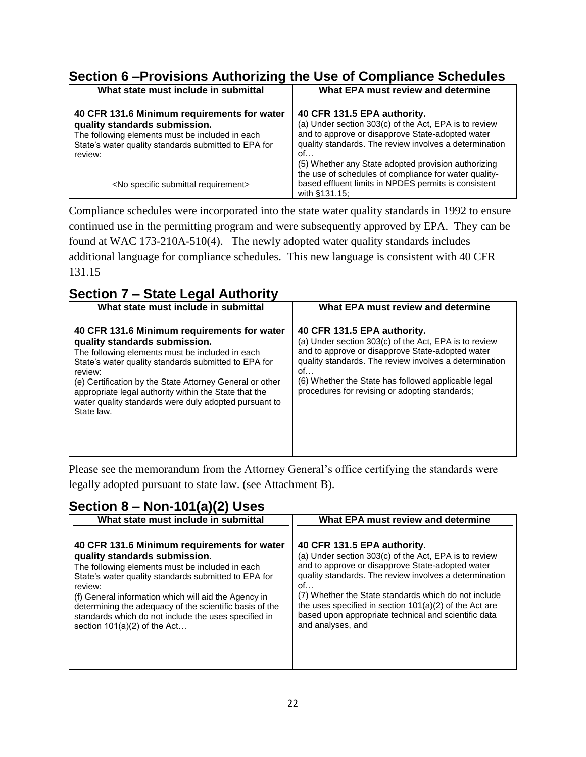## **Section 6 –Provisions Authorizing the Use of Compliance Schedules**

| What state must include in submittal                                                                                                                                                               | What EPA must review and determine                                                                                                                                                                                                                              |  |  |
|----------------------------------------------------------------------------------------------------------------------------------------------------------------------------------------------------|-----------------------------------------------------------------------------------------------------------------------------------------------------------------------------------------------------------------------------------------------------------------|--|--|
| 40 CFR 131.6 Minimum requirements for water<br>quality standards submission.<br>The following elements must be included in each<br>State's water quality standards submitted to EPA for<br>review: | 40 CFR 131.5 EPA authority.<br>(a) Under section 303(c) of the Act, EPA is to review<br>and to approve or disapprove State-adopted water<br>quality standards. The review involves a determination<br>of<br>(5) Whether any State adopted provision authorizing |  |  |
| <no requirement="" specific="" submittal=""></no>                                                                                                                                                  | the use of schedules of compliance for water quality-<br>based effluent limits in NPDES permits is consistent<br>with §131.15;                                                                                                                                  |  |  |

Compliance schedules were incorporated into the state water quality standards in 1992 to ensure continued use in the permitting program and were subsequently approved by EPA. They can be found at WAC 173-210A-510(4). The newly adopted water quality standards includes additional language for compliance schedules. This new language is consistent with 40 CFR 131.15

# **Section 7 – State Legal Authority**

| What state must include in submittal                                                                                                                                                                                                                                                                                                                                                           | What EPA must review and determine                                                                                                                                                                                                                                                                                |
|------------------------------------------------------------------------------------------------------------------------------------------------------------------------------------------------------------------------------------------------------------------------------------------------------------------------------------------------------------------------------------------------|-------------------------------------------------------------------------------------------------------------------------------------------------------------------------------------------------------------------------------------------------------------------------------------------------------------------|
| 40 CFR 131.6 Minimum requirements for water<br>quality standards submission.<br>The following elements must be included in each<br>State's water quality standards submitted to EPA for<br>review:<br>(e) Certification by the State Attorney General or other<br>appropriate legal authority within the State that the<br>water quality standards were duly adopted pursuant to<br>State law. | 40 CFR 131.5 EPA authority.<br>(a) Under section 303(c) of the Act, EPA is to review<br>and to approve or disapprove State-adopted water<br>quality standards. The review involves a determination<br>of<br>(6) Whether the State has followed applicable legal<br>procedures for revising or adopting standards; |

Please see the memorandum from the Attorney General's office certifying the standards were legally adopted pursuant to state law. (see Attachment B).

## **Section 8 – Non-101(a)(2) Uses**

| 40 CFR 131.6 Minimum requirements for water<br>40 CFR 131.5 EPA authority.<br>(a) Under section 303(c) of the Act, EPA is to review<br>quality standards submission.<br>and to approve or disapprove State-adopted water<br>The following elements must be included in each<br>quality standards. The review involves a determination<br>State's water quality standards submitted to EPA for<br>of<br>review:<br>(7) Whether the State standards which do not include<br>(f) General information which will aid the Agency in<br>the uses specified in section $101(a)(2)$ of the Act are<br>determining the adequacy of the scientific basis of the<br>based upon appropriate technical and scientific data<br>standards which do not include the uses specified in<br>and analyses, and<br>section $101(a)(2)$ of the Act | What state must include in submittal | What EPA must review and determine |
|------------------------------------------------------------------------------------------------------------------------------------------------------------------------------------------------------------------------------------------------------------------------------------------------------------------------------------------------------------------------------------------------------------------------------------------------------------------------------------------------------------------------------------------------------------------------------------------------------------------------------------------------------------------------------------------------------------------------------------------------------------------------------------------------------------------------------|--------------------------------------|------------------------------------|
|                                                                                                                                                                                                                                                                                                                                                                                                                                                                                                                                                                                                                                                                                                                                                                                                                              |                                      |                                    |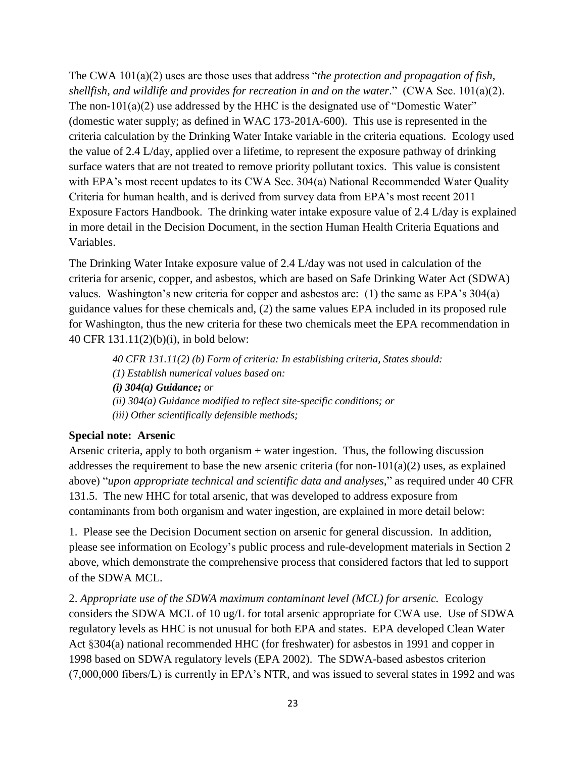The CWA 101(a)(2) uses are those uses that address "*the protection and propagation of fish, shellfish, and wildlife and provides for recreation in and on the water*." (CWA Sec. 101(a)(2). The non-101(a)(2) use addressed by the HHC is the designated use of "Domestic Water" (domestic water supply; as defined in WAC 173-201A-600). This use is represented in the criteria calculation by the Drinking Water Intake variable in the criteria equations. Ecology used the value of 2.4 L/day, applied over a lifetime, to represent the exposure pathway of drinking surface waters that are not treated to remove priority pollutant toxics. This value is consistent with EPA's most recent updates to its CWA Sec. 304(a) National Recommended Water Quality Criteria for human health, and is derived from survey data from EPA's most recent 2011 Exposure Factors Handbook. The drinking water intake exposure value of 2.4 L/day is explained in more detail in the Decision Document, in the section Human Health Criteria Equations and Variables.

The Drinking Water Intake exposure value of 2.4 L/day was not used in calculation of the criteria for arsenic, copper, and asbestos, which are based on Safe Drinking Water Act (SDWA) values. Washington's new criteria for copper and asbestos are: (1) the same as EPA's 304(a) guidance values for these chemicals and, (2) the same values EPA included in its proposed rule for Washington, thus the new criteria for these two chemicals meet the EPA recommendation in 40 CFR 131.11(2)(b)(i), in bold below:

*40 CFR 131.11(2) (b) Form of criteria: In establishing criteria, States should: (1) Establish numerical values based on: (i) 304(a) Guidance; or (ii) 304(a) Guidance modified to reflect site-specific conditions; or (iii) Other scientifically defensible methods;*

#### **Special note: Arsenic**

Arsenic criteria, apply to both organism + water ingestion. Thus, the following discussion addresses the requirement to base the new arsenic criteria (for non- $101(a)(2)$  uses, as explained above) "*upon appropriate technical and scientific data and analyses*," as required under 40 CFR 131.5. The new HHC for total arsenic, that was developed to address exposure from contaminants from both organism and water ingestion, are explained in more detail below:

1. Please see the Decision Document section on arsenic for general discussion. In addition, please see information on Ecology's public process and rule-development materials in Section 2 above, which demonstrate the comprehensive process that considered factors that led to support of the SDWA MCL.

2. *Appropriate use of the SDWA maximum contaminant level (MCL) for arsenic.* Ecology considers the SDWA MCL of 10 ug/L for total arsenic appropriate for CWA use. Use of SDWA regulatory levels as HHC is not unusual for both EPA and states. EPA developed Clean Water Act §304(a) national recommended HHC (for freshwater) for asbestos in 1991 and copper in 1998 based on SDWA regulatory levels (EPA 2002). The SDWA-based asbestos criterion (7,000,000 fibers/L) is currently in EPA's NTR, and was issued to several states in 1992 and was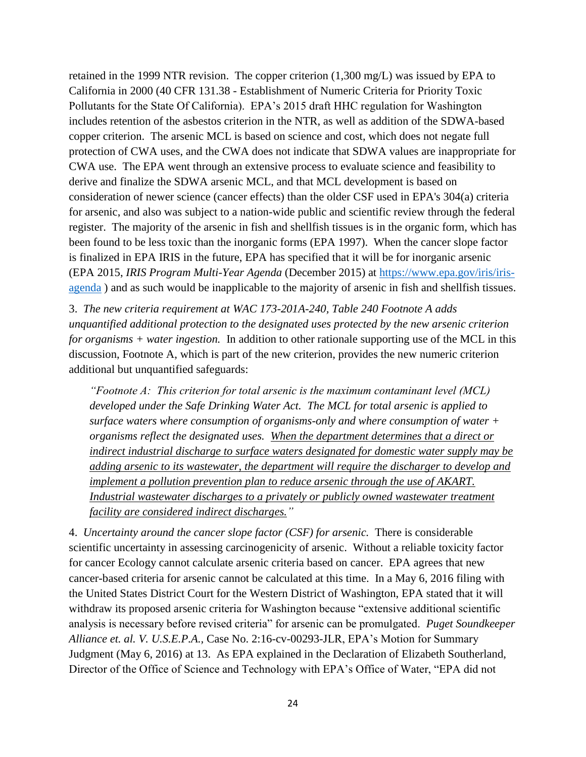retained in the 1999 NTR revision. The copper criterion (1,300 mg/L) was issued by EPA to California in 2000 (40 CFR 131.38 - Establishment of Numeric Criteria for Priority Toxic Pollutants for the State Of California). EPA's 2015 draft HHC regulation for Washington includes retention of the asbestos criterion in the NTR, as well as addition of the SDWA-based copper criterion. The arsenic MCL is based on science and cost, which does not negate full protection of CWA uses, and the CWA does not indicate that SDWA values are inappropriate for CWA use. The EPA went through an extensive process to evaluate science and feasibility to derive and finalize the SDWA arsenic MCL, and that MCL development is based on consideration of newer science (cancer effects) than the older CSF used in EPA's 304(a) criteria for arsenic, and also was subject to a nation-wide public and scientific review through the federal register. The majority of the arsenic in fish and shellfish tissues is in the organic form, which has been found to be less toxic than the inorganic forms (EPA 1997). When the cancer slope factor is finalized in EPA IRIS in the future, EPA has specified that it will be for inorganic arsenic (EPA 2015, *IRIS Program Multi-Year Agenda* (December 2015) at [https://www.epa.gov/iris/iris](https://www.epa.gov/iris/iris-agenda)[agenda](https://www.epa.gov/iris/iris-agenda) ) and as such would be inapplicable to the majority of arsenic in fish and shellfish tissues.

3. *The new criteria requirement at WAC 173-201A-240, Table 240 Footnote A adds unquantified additional protection to the designated uses protected by the new arsenic criterion for organisms + water ingestion.* In addition to other rationale supporting use of the MCL in this discussion, Footnote A, which is part of the new criterion, provides the new numeric criterion additional but unquantified safeguards:

*"Footnote A: This criterion for total arsenic is the maximum contaminant level (MCL) developed under the Safe Drinking Water Act. The MCL for total arsenic is applied to surface waters where consumption of organisms-only and where consumption of water + organisms reflect the designated uses. When the department determines that a direct or indirect industrial discharge to surface waters designated for domestic water supply may be adding arsenic to its wastewater, the department will require the discharger to develop and implement a pollution prevention plan to reduce arsenic through the use of AKART. Industrial wastewater discharges to a privately or publicly owned wastewater treatment facility are considered indirect discharges."*

4. *Uncertainty around the cancer slope factor (CSF) for arsenic.* There is considerable scientific uncertainty in assessing carcinogenicity of arsenic. Without a reliable toxicity factor for cancer Ecology cannot calculate arsenic criteria based on cancer. EPA agrees that new cancer-based criteria for arsenic cannot be calculated at this time. In a May 6, 2016 filing with the United States District Court for the Western District of Washington, EPA stated that it will withdraw its proposed arsenic criteria for Washington because "extensive additional scientific analysis is necessary before revised criteria" for arsenic can be promulgated. *Puget Soundkeeper Alliance et. al. V. U.S.E.P.A.,* Case No. 2:16-cv-00293-JLR, EPA's Motion for Summary Judgment (May 6, 2016) at 13. As EPA explained in the Declaration of Elizabeth Southerland, Director of the Office of Science and Technology with EPA's Office of Water, "EPA did not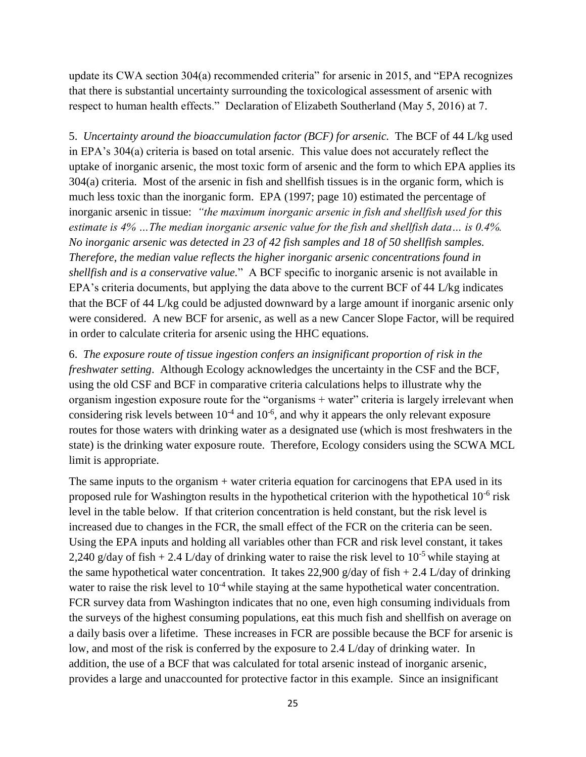update its CWA section 304(a) recommended criteria" for arsenic in 2015, and "EPA recognizes that there is substantial uncertainty surrounding the toxicological assessment of arsenic with respect to human health effects." Declaration of Elizabeth Southerland (May 5, 2016) at 7.

5. *Uncertainty around the bioaccumulation factor (BCF) for arsenic.* The BCF of 44 L/kg used in EPA's 304(a) criteria is based on total arsenic. This value does not accurately reflect the uptake of inorganic arsenic, the most toxic form of arsenic and the form to which EPA applies its 304(a) criteria. Most of the arsenic in fish and shellfish tissues is in the organic form, which is much less toxic than the inorganic form. EPA (1997; page 10) estimated the percentage of inorganic arsenic in tissue: *"the maximum inorganic arsenic in fish and shellfish used for this estimate is 4% …The median inorganic arsenic value for the fish and shellfish data… is 0.4%. No inorganic arsenic was detected in 23 of 42 fish samples and 18 of 50 shellfish samples. Therefore, the median value reflects the higher inorganic arsenic concentrations found in shellfish and is a conservative value.*" A BCF specific to inorganic arsenic is not available in EPA's criteria documents, but applying the data above to the current BCF of 44 L/kg indicates that the BCF of 44 L/kg could be adjusted downward by a large amount if inorganic arsenic only were considered. A new BCF for arsenic, as well as a new Cancer Slope Factor, will be required in order to calculate criteria for arsenic using the HHC equations.

6. *The exposure route of tissue ingestion confers an insignificant proportion of risk in the freshwater setting*. Although Ecology acknowledges the uncertainty in the CSF and the BCF, using the old CSF and BCF in comparative criteria calculations helps to illustrate why the organism ingestion exposure route for the "organisms + water" criteria is largely irrelevant when considering risk levels between  $10^{-4}$  and  $10^{-6}$ , and why it appears the only relevant exposure routes for those waters with drinking water as a designated use (which is most freshwaters in the state) is the drinking water exposure route. Therefore, Ecology considers using the SCWA MCL limit is appropriate.

The same inputs to the organism + water criteria equation for carcinogens that EPA used in its proposed rule for Washington results in the hypothetical criterion with the hypothetical  $10^{-6}$  risk level in the table below. If that criterion concentration is held constant, but the risk level is increased due to changes in the FCR, the small effect of the FCR on the criteria can be seen. Using the EPA inputs and holding all variables other than FCR and risk level constant, it takes 2,240 g/day of fish  $+ 2.4$  L/day of drinking water to raise the risk level to 10<sup>-5</sup> while staying at the same hypothetical water concentration. It takes 22,900 g/day of fish  $+ 2.4$  L/day of drinking water to raise the risk level to  $10^{-4}$  while staying at the same hypothetical water concentration. FCR survey data from Washington indicates that no one, even high consuming individuals from the surveys of the highest consuming populations, eat this much fish and shellfish on average on a daily basis over a lifetime. These increases in FCR are possible because the BCF for arsenic is low, and most of the risk is conferred by the exposure to 2.4 L/day of drinking water. In addition, the use of a BCF that was calculated for total arsenic instead of inorganic arsenic, provides a large and unaccounted for protective factor in this example. Since an insignificant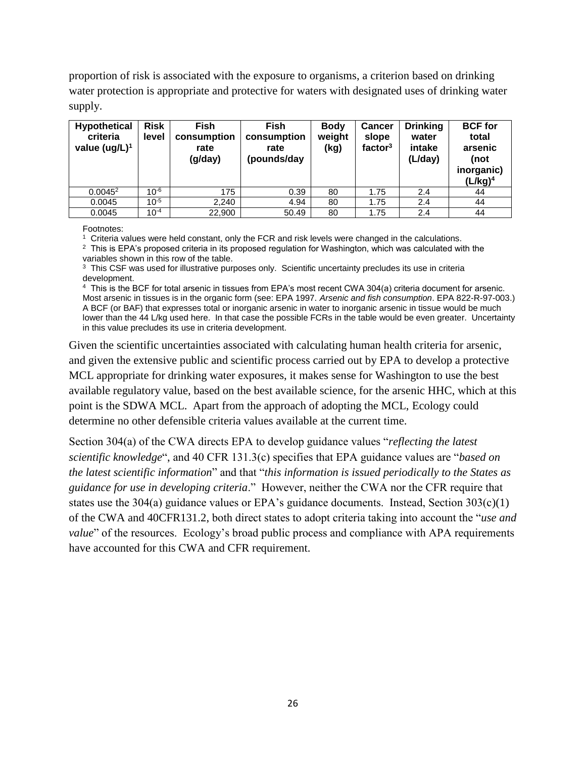proportion of risk is associated with the exposure to organisms, a criterion based on drinking water protection is appropriate and protective for waters with designated uses of drinking water supply.

| <b>Hypothetical</b><br>criteria<br>value $(ug/L)^1$ | <b>Risk</b><br>level | <b>Fish</b><br>consumption<br>rate<br>(g/day) | <b>Fish</b><br>consumption<br>rate<br>(pounds/day | <b>Body</b><br>weight<br>(kg) | <b>Cancer</b><br>slope<br>factor $3$ | <b>Drinking</b><br>water<br>intake<br>(L/day) | <b>BCF</b> for<br>total<br>arsenic<br>(not<br>inorganic)<br>(L/kg) <sup>4</sup> |
|-----------------------------------------------------|----------------------|-----------------------------------------------|---------------------------------------------------|-------------------------------|--------------------------------------|-----------------------------------------------|---------------------------------------------------------------------------------|
| $0.0045^2$                                          | $10^{-6}$            | 175                                           | 0.39                                              | 80                            | 1.75                                 | 2.4                                           | 44                                                                              |
| 0.0045                                              | $10^{-5}$            | 2.240                                         | 4.94                                              | 80                            | 1.75                                 | 2.4                                           | 44                                                                              |
| 0.0045                                              | $10^{-4}$            | 22,900                                        | 50.49                                             | 80                            | 1.75                                 | 2.4                                           | 44                                                                              |

Footnotes:

1 Criteria values were held constant, only the FCR and risk levels were changed in the calculations.

 $2$  This is EPA's proposed criteria in its proposed regulation for Washington, which was calculated with the variables shown in this row of the table.

<sup>3</sup> This CSF was used for illustrative purposes only. Scientific uncertainty precludes its use in criteria development.

4 This is the BCF for total arsenic in tissues from EPA's most recent CWA 304(a) criteria document for arsenic. Most arsenic in tissues is in the organic form (see: EPA 1997. *Arsenic and fish consumption*. EPA 822-R-97-003.) A BCF (or BAF) that expresses total or inorganic arsenic in water to inorganic arsenic in tissue would be much lower than the 44 L/kg used here. In that case the possible FCRs in the table would be even greater. Uncertainty in this value precludes its use in criteria development.

Given the scientific uncertainties associated with calculating human health criteria for arsenic, and given the extensive public and scientific process carried out by EPA to develop a protective MCL appropriate for drinking water exposures, it makes sense for Washington to use the best available regulatory value, based on the best available science, for the arsenic HHC, which at this point is the SDWA MCL. Apart from the approach of adopting the MCL, Ecology could determine no other defensible criteria values available at the current time.

Section 304(a) of the CWA directs EPA to develop guidance values "*reflecting the latest scientific knowledge*", and 40 CFR 131.3(c) specifies that EPA guidance values are "*based on the latest scientific information*" and that "*this information is issued periodically to the States as guidance for use in developing criteria*." However, neither the CWA nor the CFR require that states use the 304(a) guidance values or EPA's guidance documents. Instead, Section  $303(c)(1)$ of the CWA and 40CFR131.2, both direct states to adopt criteria taking into account the "*use and value*" of the resources. Ecology's broad public process and compliance with APA requirements have accounted for this CWA and CFR requirement.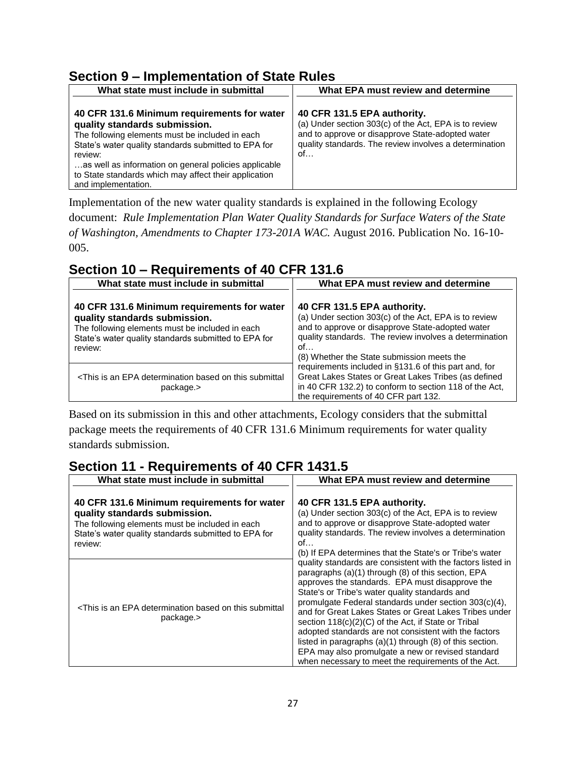## **Section 9 – Implementation of State Rules**

| What state must include in submittal                                                                                                                                                                                                                                                                                                        | What EPA must review and determine                                                                                                                                                                       |  |  |
|---------------------------------------------------------------------------------------------------------------------------------------------------------------------------------------------------------------------------------------------------------------------------------------------------------------------------------------------|----------------------------------------------------------------------------------------------------------------------------------------------------------------------------------------------------------|--|--|
| 40 CFR 131.6 Minimum requirements for water<br>quality standards submission.<br>The following elements must be included in each<br>State's water quality standards submitted to EPA for<br>review:<br>as well as information on general policies applicable<br>to State standards which may affect their application<br>and implementation. | 40 CFR 131.5 EPA authority.<br>(a) Under section 303(c) of the Act, EPA is to review<br>and to approve or disapprove State-adopted water<br>quality standards. The review involves a determination<br>of |  |  |

Implementation of the new water quality standards is explained in the following Ecology document: *Rule Implementation Plan Water Quality Standards for Surface Waters of the State of Washington, Amendments to Chapter 173-201A WAC.* August 2016. Publication No. 16-10- 005.

## **Section 10 – Requirements of 40 CFR 131.6**

| What state must include in submittal                                                                                                                                                               | What EPA must review and determine                                                                                                                                                                                                                     |
|----------------------------------------------------------------------------------------------------------------------------------------------------------------------------------------------------|--------------------------------------------------------------------------------------------------------------------------------------------------------------------------------------------------------------------------------------------------------|
| 40 CFR 131.6 Minimum requirements for water<br>quality standards submission.<br>The following elements must be included in each<br>State's water quality standards submitted to EPA for<br>review: | 40 CFR 131.5 EPA authority.<br>(a) Under section 303(c) of the Act, EPA is to review<br>and to approve or disapprove State-adopted water<br>quality standards. The review involves a determination<br>of<br>(8) Whether the State submission meets the |
| <this an="" based="" determination="" epa="" is="" on="" submittal<br="" this="">package.&gt;</this>                                                                                               | requirements included in §131.6 of this part and, for<br>Great Lakes States or Great Lakes Tribes (as defined<br>in 40 CFR 132.2) to conform to section 118 of the Act,<br>the requirements of 40 CFR part 132.                                        |

Based on its submission in this and other attachments, Ecology considers that the submittal package meets the requirements of 40 CFR 131.6 Minimum requirements for water quality standards submission.

## **Section 11 - Requirements of 40 CFR 1431.5**

| What state must include in submittal                                                                                                                                                               | What EPA must review and determine                                                                                                                                                                                                                                                                                                                                                                                                                                                                                                                                                                                                    |  |  |  |
|----------------------------------------------------------------------------------------------------------------------------------------------------------------------------------------------------|---------------------------------------------------------------------------------------------------------------------------------------------------------------------------------------------------------------------------------------------------------------------------------------------------------------------------------------------------------------------------------------------------------------------------------------------------------------------------------------------------------------------------------------------------------------------------------------------------------------------------------------|--|--|--|
| 40 CFR 131.6 Minimum requirements for water<br>quality standards submission.<br>The following elements must be included in each<br>State's water quality standards submitted to EPA for<br>review: | 40 CFR 131.5 EPA authority.<br>(a) Under section 303(c) of the Act, EPA is to review<br>and to approve or disapprove State-adopted water<br>quality standards. The review involves a determination<br>of<br>(b) If EPA determines that the State's or Tribe's water                                                                                                                                                                                                                                                                                                                                                                   |  |  |  |
| <this an="" based="" determination="" epa="" is="" on="" submittal<br="" this="">package.&gt;</this>                                                                                               | quality standards are consistent with the factors listed in<br>paragraphs (a)(1) through (8) of this section, EPA<br>approves the standards. EPA must disapprove the<br>State's or Tribe's water quality standards and<br>promulgate Federal standards under section 303(c)(4),<br>and for Great Lakes States or Great Lakes Tribes under<br>section 118(c)(2)(C) of the Act, if State or Tribal<br>adopted standards are not consistent with the factors<br>listed in paragraphs $(a)(1)$ through $(8)$ of this section.<br>EPA may also promulgate a new or revised standard<br>when necessary to meet the requirements of the Act. |  |  |  |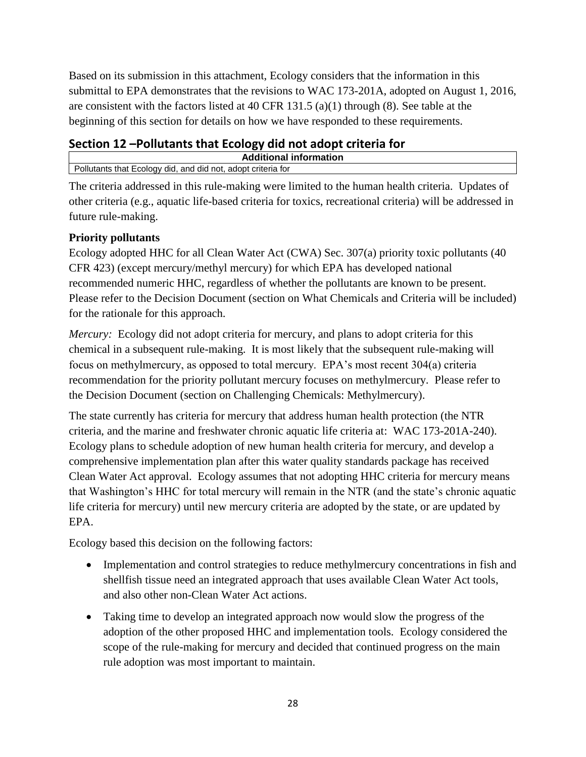Based on its submission in this attachment, Ecology considers that the information in this submittal to EPA demonstrates that the revisions to WAC 173-201A, adopted on August 1, 2016, are consistent with the factors listed at 40 CFR 131.5 (a)(1) through (8). See table at the beginning of this section for details on how we have responded to these requirements.

## **Section 12 –Pollutants that Ecology did not adopt criteria for**

|                                                                   | <b>\dditional</b> information |
|-------------------------------------------------------------------|-------------------------------|
| Pollutants that Ecology did,<br>, and did not, adopt criteria for |                               |

The criteria addressed in this rule-making were limited to the human health criteria. Updates of other criteria (e.g., aquatic life-based criteria for toxics, recreational criteria) will be addressed in future rule-making.

### **Priority pollutants**

Ecology adopted HHC for all Clean Water Act (CWA) Sec. 307(a) priority toxic pollutants (40 CFR 423) (except mercury/methyl mercury) for which EPA has developed national recommended numeric HHC, regardless of whether the pollutants are known to be present. Please refer to the Decision Document (section on What Chemicals and Criteria will be included) for the rationale for this approach.

*Mercury:* Ecology did not adopt criteria for mercury, and plans to adopt criteria for this chemical in a subsequent rule-making. It is most likely that the subsequent rule-making will focus on methylmercury, as opposed to total mercury. EPA's most recent 304(a) criteria recommendation for the priority pollutant mercury focuses on methylmercury. Please refer to the Decision Document (section on Challenging Chemicals: Methylmercury).

The state currently has criteria for mercury that address human health protection (the NTR criteria, and the marine and freshwater chronic aquatic life criteria at: WAC 173-201A-240). Ecology plans to schedule adoption of new human health criteria for mercury, and develop a comprehensive implementation plan after this water quality standards package has received Clean Water Act approval. Ecology assumes that not adopting HHC criteria for mercury means that Washington's HHC for total mercury will remain in the NTR (and the state's chronic aquatic life criteria for mercury) until new mercury criteria are adopted by the state, or are updated by EPA.

Ecology based this decision on the following factors:

- Implementation and control strategies to reduce methylmercury concentrations in fish and shellfish tissue need an integrated approach that uses available Clean Water Act tools, and also other non-Clean Water Act actions.
- Taking time to develop an integrated approach now would slow the progress of the adoption of the other proposed HHC and implementation tools. Ecology considered the scope of the rule-making for mercury and decided that continued progress on the main rule adoption was most important to maintain.